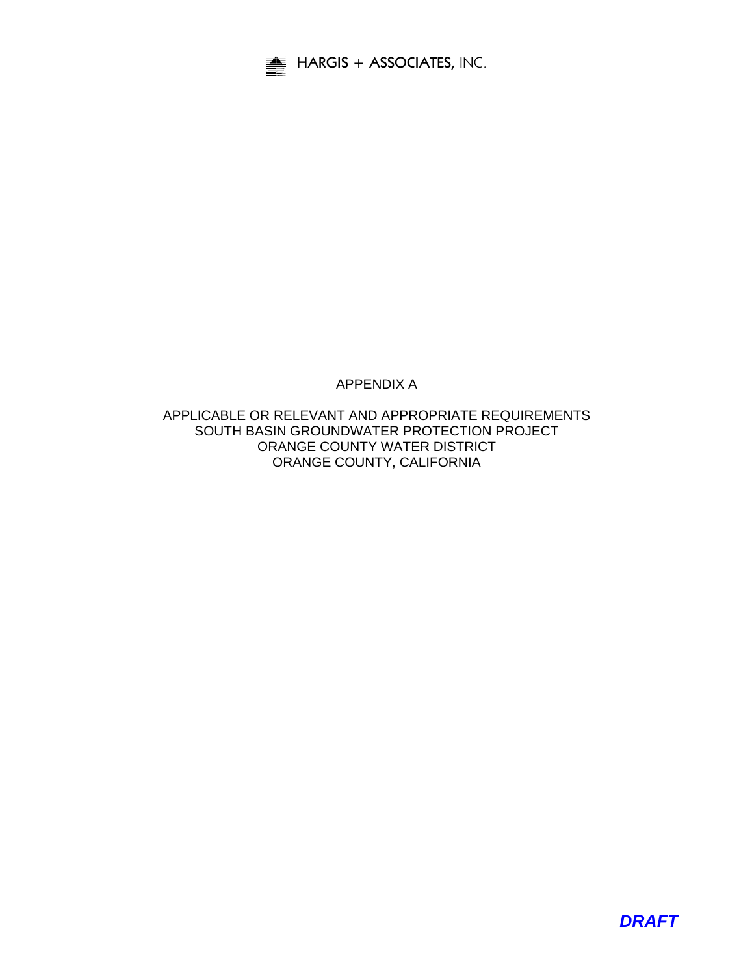

## APPENDIX A

APPLICABLE OR RELEVANT AND APPROPRIATE REQUIREMENTS SOUTH BASIN GROUNDWATER PROTECTION PROJECT ORANGE COUNTY WATER DISTRICT ORANGE COUNTY, CALIFORNIA

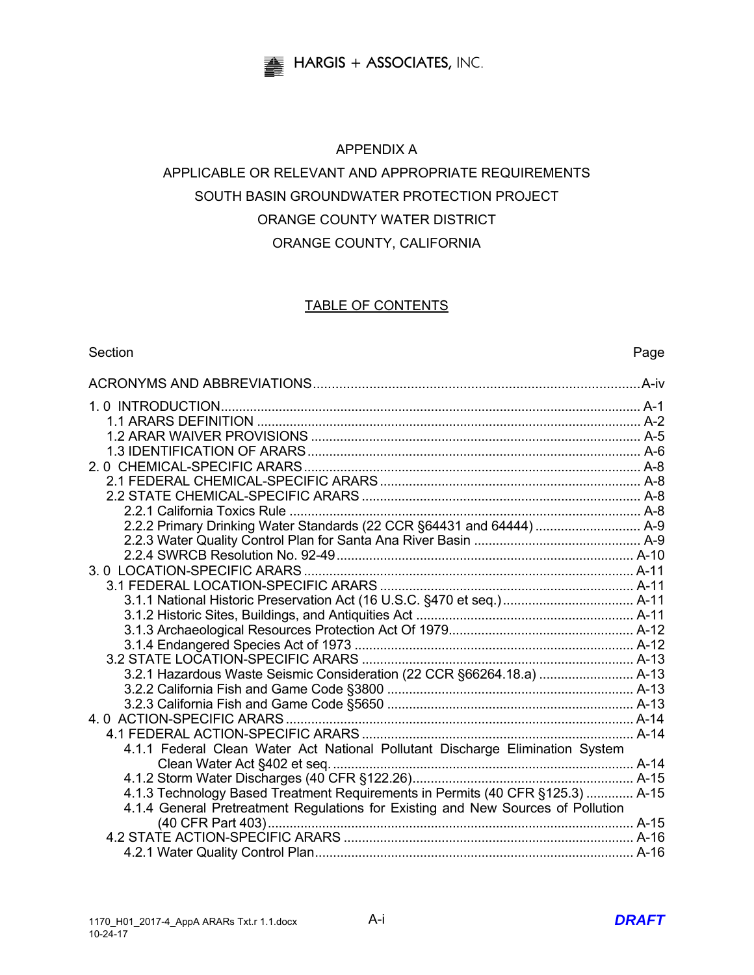

## APPENDIX A

# APPLICABLE OR RELEVANT AND APPROPRIATE REQUIREMENTS SOUTH BASIN GROUNDWATER PROTECTION PROJECT ORANGE COUNTY WATER DISTRICT ORANGE COUNTY, CALIFORNIA

## TABLE OF CONTENTS

#### Section **Page**

| 3.2.1 Hazardous Waste Seismic Consideration (22 CCR §66264.18.a)  A-13           |  |
|----------------------------------------------------------------------------------|--|
|                                                                                  |  |
|                                                                                  |  |
|                                                                                  |  |
|                                                                                  |  |
| 4.1.1 Federal Clean Water Act National Pollutant Discharge Elimination System    |  |
|                                                                                  |  |
|                                                                                  |  |
| 4.1.3 Technology Based Treatment Requirements in Permits (40 CFR §125.3)  A-15   |  |
| 4.1.4 General Pretreatment Regulations for Existing and New Sources of Pollution |  |
|                                                                                  |  |
|                                                                                  |  |
|                                                                                  |  |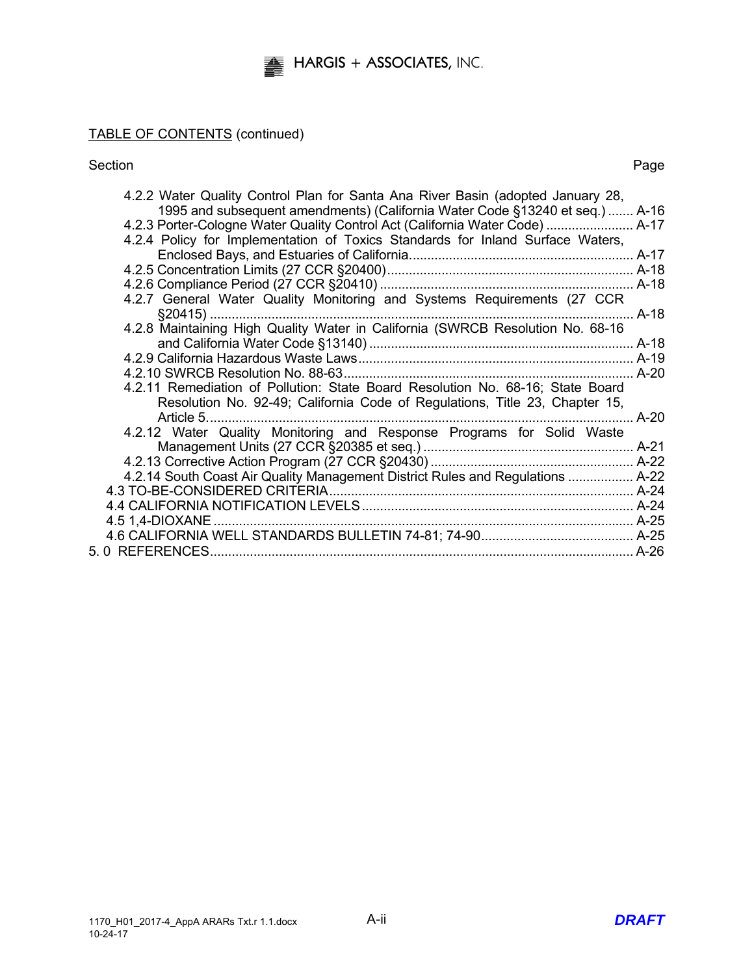## TABLE OF CONTENTS (continued)

Section **Page** 

| 4.2.2 Water Quality Control Plan for Santa Ana River Basin (adopted January 28,           |        |
|-------------------------------------------------------------------------------------------|--------|
| 1995 and subsequent amendments) (California Water Code §13240 et seq.)  A-16              |        |
| 4.2.3 Porter-Cologne Water Quality Control Act (California Water Code)  A-17              |        |
| 4.2.4 Policy for Implementation of Toxics Standards for Inland Surface Waters,            |        |
|                                                                                           |        |
|                                                                                           |        |
|                                                                                           |        |
| 4.2.7 General Water Quality Monitoring and Systems Requirements (27 CCR                   |        |
|                                                                                           |        |
| 4.2.8 Maintaining High Quality Water in California (SWRCB Resolution No. 68-16            |        |
|                                                                                           |        |
|                                                                                           |        |
|                                                                                           |        |
| 4.2.11 Remediation of Pollution: State Board Resolution No. 68-16; State Board            |        |
| Resolution No. 92-49; California Code of Regulations, Title 23, Chapter 15,<br>Article 5. | $A-20$ |
| 4.2.12 Water Quality Monitoring and Response Programs for Solid Waste                     |        |
|                                                                                           |        |
|                                                                                           |        |
| 4.2.14 South Coast Air Quality Management District Rules and Regulations  A-22            |        |
|                                                                                           |        |
|                                                                                           |        |
| 4.5 1,4-DIOXANE                                                                           |        |
|                                                                                           |        |
|                                                                                           |        |
|                                                                                           |        |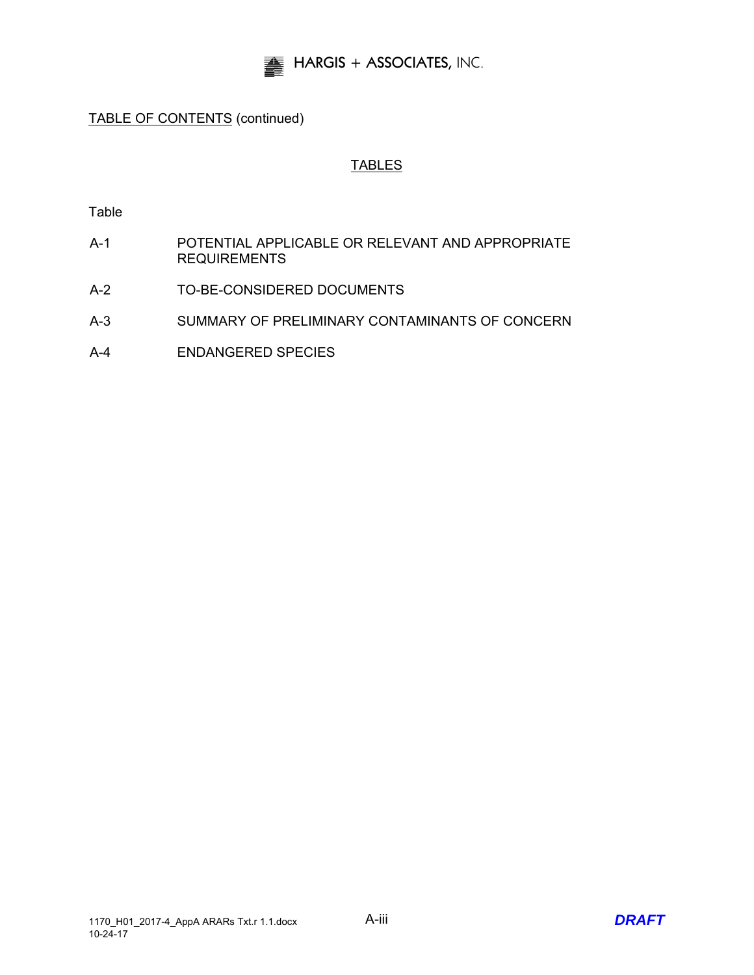

## TABLE OF CONTENTS (continued)

## TABLES

Table

- A-1 POTENTIAL APPLICABLE OR RELEVANT AND APPROPRIATE **REQUIREMENTS**
- A-2 TO-BE-CONSIDERED DOCUMENTS
- A-3 SUMMARY OF PRELIMINARY CONTAMINANTS OF CONCERN
- A-4 ENDANGERED SPECIES

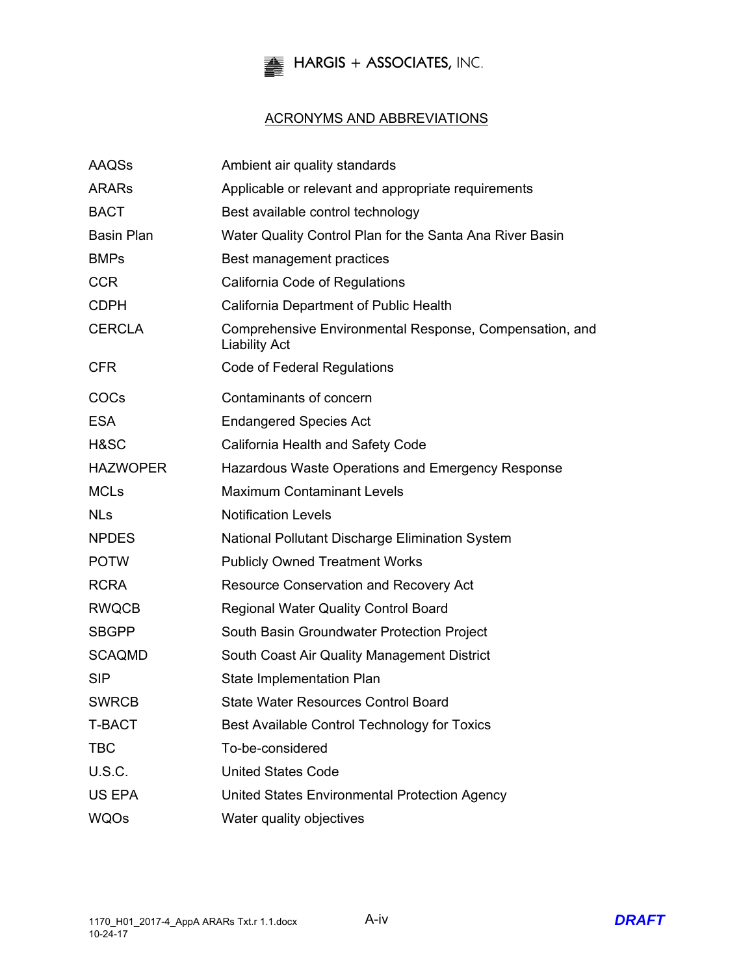

## ACRONYMS AND ABBREVIATIONS

| <b>AAQSs</b>      | Ambient air quality standards                                                   |
|-------------------|---------------------------------------------------------------------------------|
| <b>ARARS</b>      | Applicable or relevant and appropriate requirements                             |
| <b>BACT</b>       | Best available control technology                                               |
| <b>Basin Plan</b> | Water Quality Control Plan for the Santa Ana River Basin                        |
| <b>BMPs</b>       | Best management practices                                                       |
| <b>CCR</b>        | California Code of Regulations                                                  |
| <b>CDPH</b>       | California Department of Public Health                                          |
| <b>CERCLA</b>     | Comprehensive Environmental Response, Compensation, and<br><b>Liability Act</b> |
| <b>CFR</b>        | <b>Code of Federal Regulations</b>                                              |
| COCs              | Contaminants of concern                                                         |
| <b>ESA</b>        | <b>Endangered Species Act</b>                                                   |
| H&SC              | California Health and Safety Code                                               |
| <b>HAZWOPER</b>   | Hazardous Waste Operations and Emergency Response                               |
| <b>MCLs</b>       | <b>Maximum Contaminant Levels</b>                                               |
| <b>NLs</b>        | <b>Notification Levels</b>                                                      |
| <b>NPDES</b>      | National Pollutant Discharge Elimination System                                 |
| <b>POTW</b>       | <b>Publicly Owned Treatment Works</b>                                           |
| <b>RCRA</b>       | <b>Resource Conservation and Recovery Act</b>                                   |
| <b>RWQCB</b>      | <b>Regional Water Quality Control Board</b>                                     |
| <b>SBGPP</b>      | South Basin Groundwater Protection Project                                      |
| <b>SCAQMD</b>     | South Coast Air Quality Management District                                     |
| <b>SIP</b>        | State Implementation Plan                                                       |
| <b>SWRCB</b>      | <b>State Water Resources Control Board</b>                                      |
| <b>T-BACT</b>     | Best Available Control Technology for Toxics                                    |
| <b>TBC</b>        | To-be-considered                                                                |
| <b>U.S.C.</b>     | <b>United States Code</b>                                                       |
| US EPA            | United States Environmental Protection Agency                                   |
| <b>WQOs</b>       | Water quality objectives                                                        |

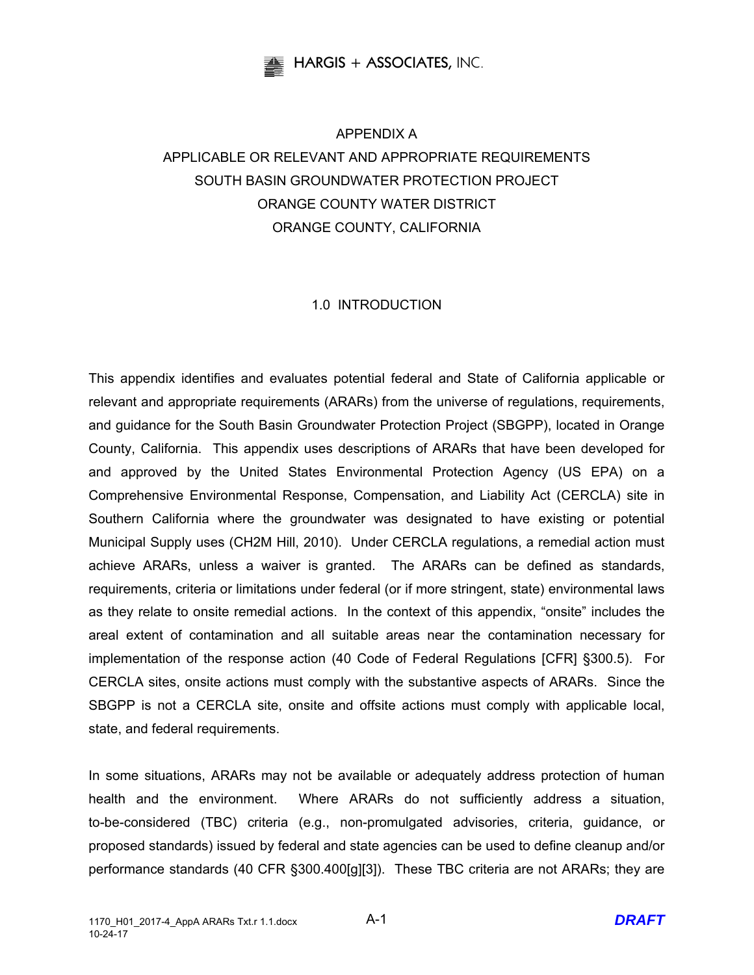

# APPENDIX A APPLICABLE OR RELEVANT AND APPROPRIATE REQUIREMENTS SOUTH BASIN GROUNDWATER PROTECTION PROJECT ORANGE COUNTY WATER DISTRICT ORANGE COUNTY, CALIFORNIA

## 1.0 INTRODUCTION

This appendix identifies and evaluates potential federal and State of California applicable or relevant and appropriate requirements (ARARs) from the universe of regulations, requirements, and guidance for the South Basin Groundwater Protection Project (SBGPP), located in Orange County, California. This appendix uses descriptions of ARARs that have been developed for and approved by the United States Environmental Protection Agency (US EPA) on a Comprehensive Environmental Response, Compensation, and Liability Act (CERCLA) site in Southern California where the groundwater was designated to have existing or potential Municipal Supply uses (CH2M Hill, 2010). Under CERCLA regulations, a remedial action must achieve ARARs, unless a waiver is granted. The ARARs can be defined as standards, requirements, criteria or limitations under federal (or if more stringent, state) environmental laws as they relate to onsite remedial actions. In the context of this appendix, "onsite" includes the areal extent of contamination and all suitable areas near the contamination necessary for implementation of the response action (40 Code of Federal Regulations [CFR] §300.5). For CERCLA sites, onsite actions must comply with the substantive aspects of ARARs. Since the SBGPP is not a CERCLA site, onsite and offsite actions must comply with applicable local, state, and federal requirements.

In some situations, ARARs may not be available or adequately address protection of human health and the environment. Where ARARs do not sufficiently address a situation, to-be-considered (TBC) criteria (e.g., non-promulgated advisories, criteria, guidance, or proposed standards) issued by federal and state agencies can be used to define cleanup and/or performance standards (40 CFR §300.400[g][3]). These TBC criteria are not ARARs; they are

A-1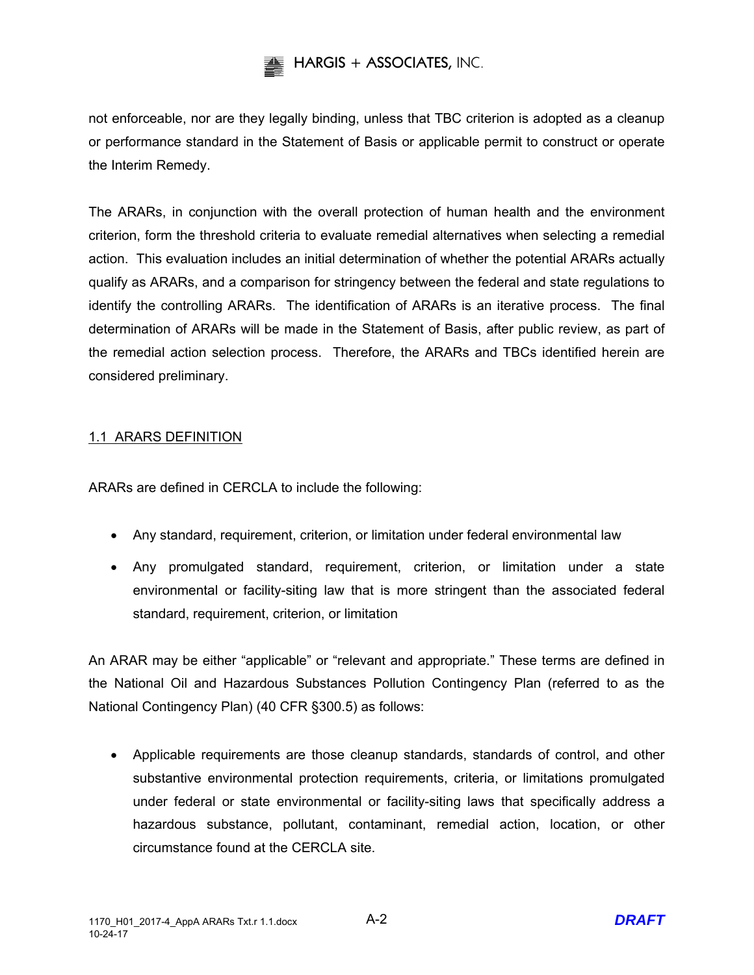

not enforceable, nor are they legally binding, unless that TBC criterion is adopted as a cleanup or performance standard in the Statement of Basis or applicable permit to construct or operate the Interim Remedy.

The ARARs, in conjunction with the overall protection of human health and the environment criterion, form the threshold criteria to evaluate remedial alternatives when selecting a remedial action. This evaluation includes an initial determination of whether the potential ARARs actually qualify as ARARs, and a comparison for stringency between the federal and state regulations to identify the controlling ARARs. The identification of ARARs is an iterative process. The final determination of ARARs will be made in the Statement of Basis, after public review, as part of the remedial action selection process. Therefore, the ARARs and TBCs identified herein are considered preliminary.

## 1.1 ARARS DEFINITION

ARARs are defined in CERCLA to include the following:

- Any standard, requirement, criterion, or limitation under federal environmental law
- Any promulgated standard, requirement, criterion, or limitation under a state environmental or facility-siting law that is more stringent than the associated federal standard, requirement, criterion, or limitation

An ARAR may be either "applicable" or "relevant and appropriate." These terms are defined in the National Oil and Hazardous Substances Pollution Contingency Plan (referred to as the National Contingency Plan) (40 CFR §300.5) as follows:

 Applicable requirements are those cleanup standards, standards of control, and other substantive environmental protection requirements, criteria, or limitations promulgated under federal or state environmental or facility-siting laws that specifically address a hazardous substance, pollutant, contaminant, remedial action, location, or other circumstance found at the CERCLA site.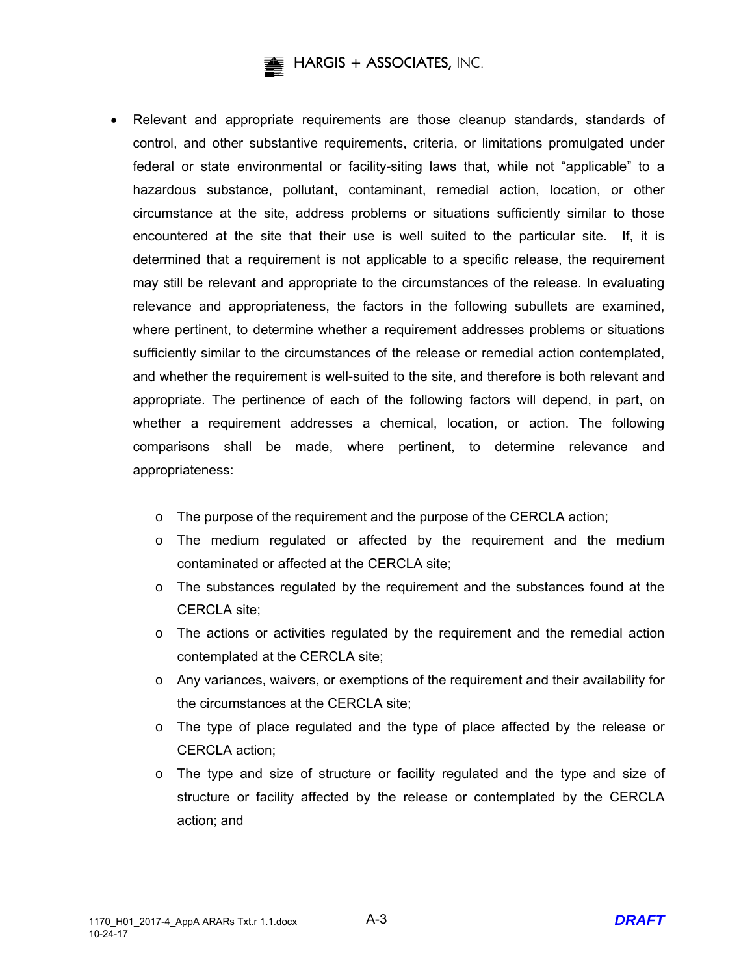# **HARGIS + ASSOCIATES,** INC.

- Relevant and appropriate requirements are those cleanup standards, standards of control, and other substantive requirements, criteria, or limitations promulgated under federal or state environmental or facility-siting laws that, while not "applicable" to a hazardous substance, pollutant, contaminant, remedial action, location, or other circumstance at the site, address problems or situations sufficiently similar to those encountered at the site that their use is well suited to the particular site. If, it is determined that a requirement is not applicable to a specific release, the requirement may still be relevant and appropriate to the circumstances of the release. In evaluating relevance and appropriateness, the factors in the following subullets are examined, where pertinent, to determine whether a requirement addresses problems or situations sufficiently similar to the circumstances of the release or remedial action contemplated, and whether the requirement is well-suited to the site, and therefore is both relevant and appropriate. The pertinence of each of the following factors will depend, in part, on whether a requirement addresses a chemical, location, or action. The following comparisons shall be made, where pertinent, to determine relevance and appropriateness:
	- o The purpose of the requirement and the purpose of the CERCLA action;
	- o The medium regulated or affected by the requirement and the medium contaminated or affected at the CERCLA site;
	- $\circ$  The substances regulated by the requirement and the substances found at the CERCLA site;
	- $\circ$  The actions or activities regulated by the requirement and the remedial action contemplated at the CERCLA site;
	- $\circ$  Any variances, waivers, or exemptions of the requirement and their availability for the circumstances at the CERCLA site;
	- $\circ$  The type of place regulated and the type of place affected by the release or CERCLA action;
	- $\circ$  The type and size of structure or facility regulated and the type and size of structure or facility affected by the release or contemplated by the CERCLA action; and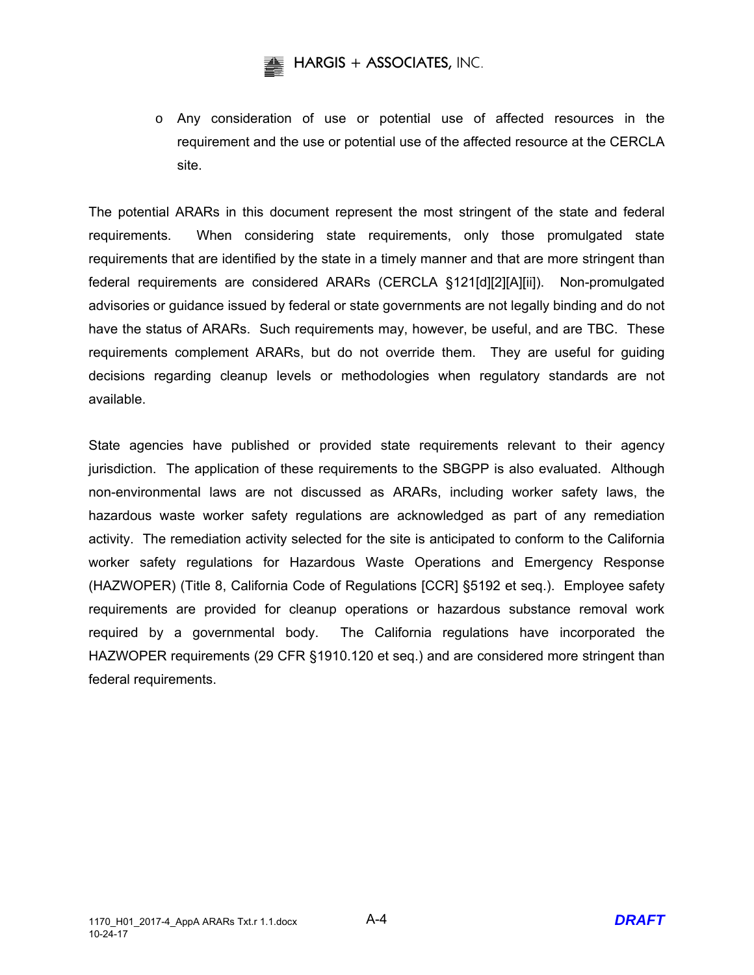o Any consideration of use or potential use of affected resources in the requirement and the use or potential use of the affected resource at the CERCLA site.

The potential ARARs in this document represent the most stringent of the state and federal requirements. When considering state requirements, only those promulgated state requirements that are identified by the state in a timely manner and that are more stringent than federal requirements are considered ARARs (CERCLA §121[d][2][A][ii]). Non-promulgated advisories or guidance issued by federal or state governments are not legally binding and do not have the status of ARARs. Such requirements may, however, be useful, and are TBC. These requirements complement ARARs, but do not override them. They are useful for guiding decisions regarding cleanup levels or methodologies when regulatory standards are not available.

State agencies have published or provided state requirements relevant to their agency jurisdiction. The application of these requirements to the SBGPP is also evaluated. Although non-environmental laws are not discussed as ARARs, including worker safety laws, the hazardous waste worker safety regulations are acknowledged as part of any remediation activity. The remediation activity selected for the site is anticipated to conform to the California worker safety regulations for Hazardous Waste Operations and Emergency Response (HAZWOPER) (Title 8, California Code of Regulations [CCR] §5192 et seq.). Employee safety requirements are provided for cleanup operations or hazardous substance removal work required by a governmental body. The California regulations have incorporated the HAZWOPER requirements (29 CFR §1910.120 et seq.) and are considered more stringent than federal requirements.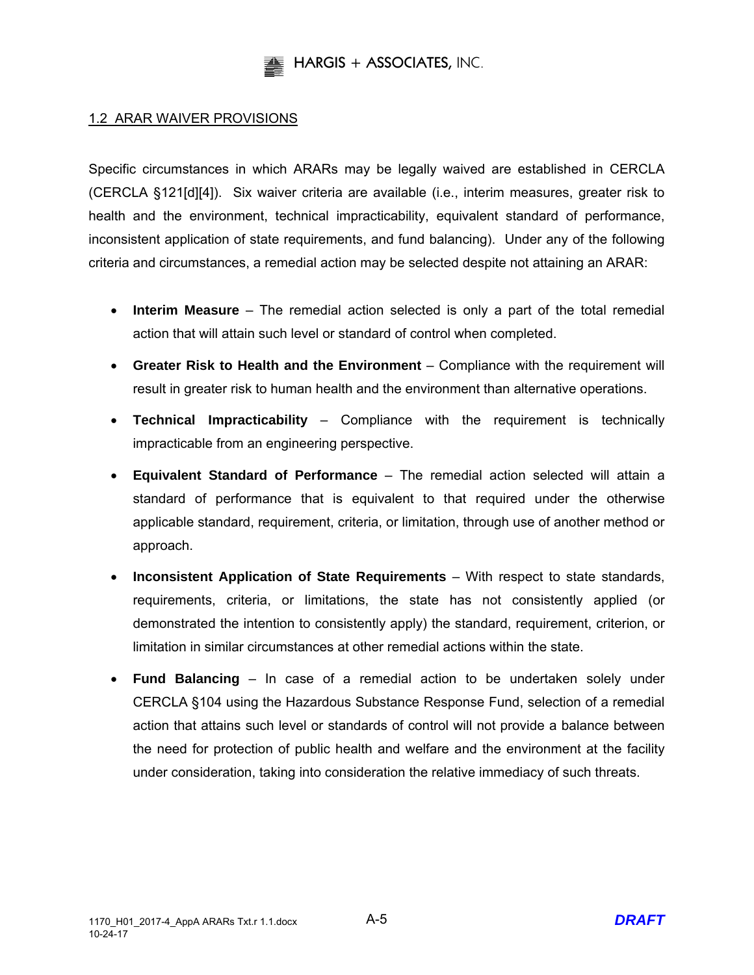

#### 1.2 ARAR WAIVER PROVISIONS

Specific circumstances in which ARARs may be legally waived are established in CERCLA (CERCLA §121[d][4]). Six waiver criteria are available (i.e., interim measures, greater risk to health and the environment, technical impracticability, equivalent standard of performance, inconsistent application of state requirements, and fund balancing). Under any of the following criteria and circumstances, a remedial action may be selected despite not attaining an ARAR:

- **Interim Measure** The remedial action selected is only a part of the total remedial action that will attain such level or standard of control when completed.
- **Greater Risk to Health and the Environment** Compliance with the requirement will result in greater risk to human health and the environment than alternative operations.
- **Technical Impracticability** Compliance with the requirement is technically impracticable from an engineering perspective.
- **Equivalent Standard of Performance** The remedial action selected will attain a standard of performance that is equivalent to that required under the otherwise applicable standard, requirement, criteria, or limitation, through use of another method or approach.
- **Inconsistent Application of State Requirements** With respect to state standards, requirements, criteria, or limitations, the state has not consistently applied (or demonstrated the intention to consistently apply) the standard, requirement, criterion, or limitation in similar circumstances at other remedial actions within the state.
- **Fund Balancing** In case of a remedial action to be undertaken solely under CERCLA §104 using the Hazardous Substance Response Fund, selection of a remedial action that attains such level or standards of control will not provide a balance between the need for protection of public health and welfare and the environment at the facility under consideration, taking into consideration the relative immediacy of such threats.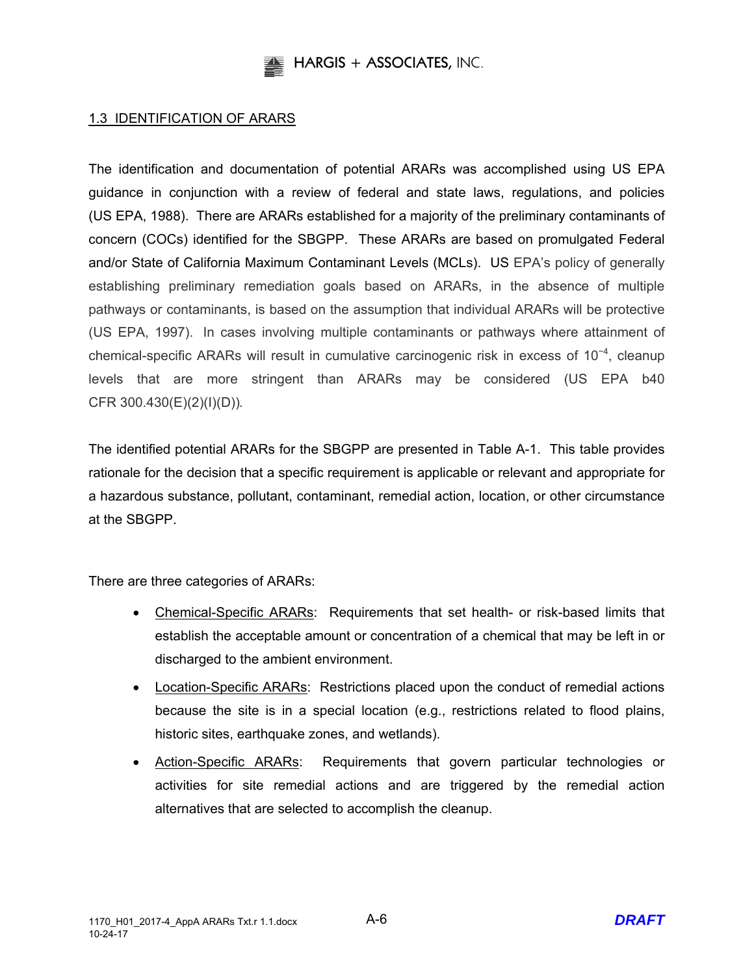

#### 1.3 IDENTIFICATION OF ARARS

The identification and documentation of potential ARARs was accomplished using US EPA guidance in conjunction with a review of federal and state laws, regulations, and policies (US EPA, 1988). There are ARARs established for a majority of the preliminary contaminants of concern (COCs) identified for the SBGPP. These ARARs are based on promulgated Federal and/or State of California Maximum Contaminant Levels (MCLs). US EPA's policy of generally establishing preliminary remediation goals based on ARARs, in the absence of multiple pathways or contaminants, is based on the assumption that individual ARARs will be protective (US EPA, 1997). In cases involving multiple contaminants or pathways where attainment of chemical-specific ARARs will result in cumulative carcinogenic risk in excess of 10<sup>-4</sup>, cleanup levels that are more stringent than ARARs may be considered (US EPA b40 CFR 300.430(E)(2)(I)(D))*.*

The identified potential ARARs for the SBGPP are presented in Table A-1. This table provides rationale for the decision that a specific requirement is applicable or relevant and appropriate for a hazardous substance, pollutant, contaminant, remedial action, location, or other circumstance at the SBGPP.

There are three categories of ARARs:

- Chemical-Specific ARARs: Requirements that set health- or risk-based limits that establish the acceptable amount or concentration of a chemical that may be left in or discharged to the ambient environment.
- Location-Specific ARARs: Restrictions placed upon the conduct of remedial actions because the site is in a special location (e.g., restrictions related to flood plains, historic sites, earthquake zones, and wetlands).
- Action-Specific ARARs: Requirements that govern particular technologies or activities for site remedial actions and are triggered by the remedial action alternatives that are selected to accomplish the cleanup.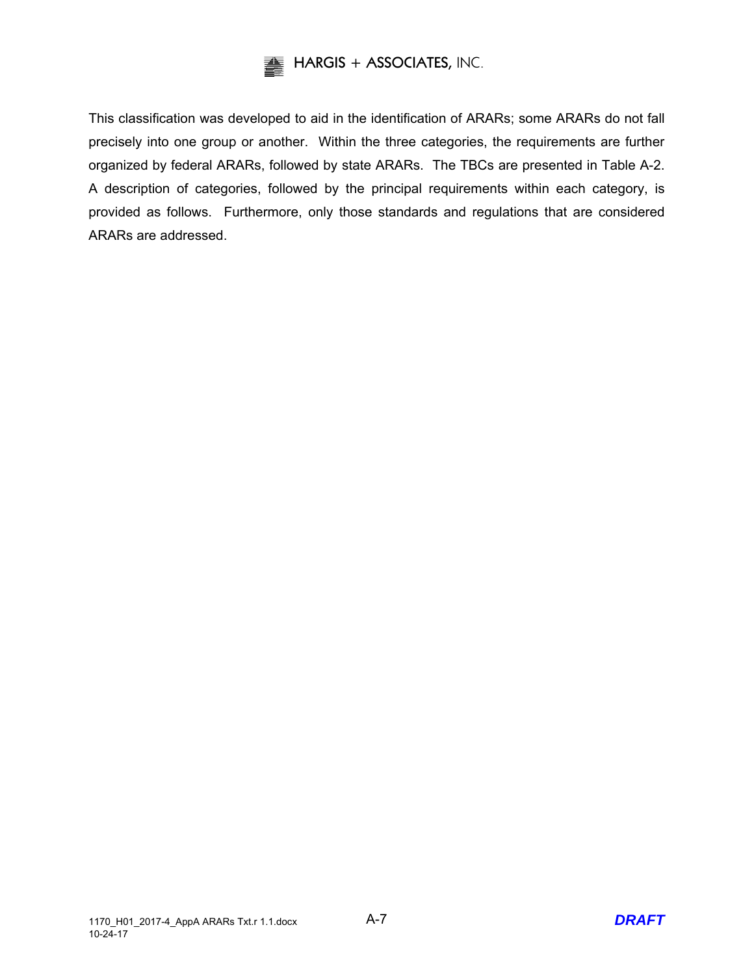

This classification was developed to aid in the identification of ARARs; some ARARs do not fall precisely into one group or another. Within the three categories, the requirements are further organized by federal ARARs, followed by state ARARs. The TBCs are presented in Table A-2. A description of categories, followed by the principal requirements within each category, is provided as follows. Furthermore, only those standards and regulations that are considered ARARs are addressed.

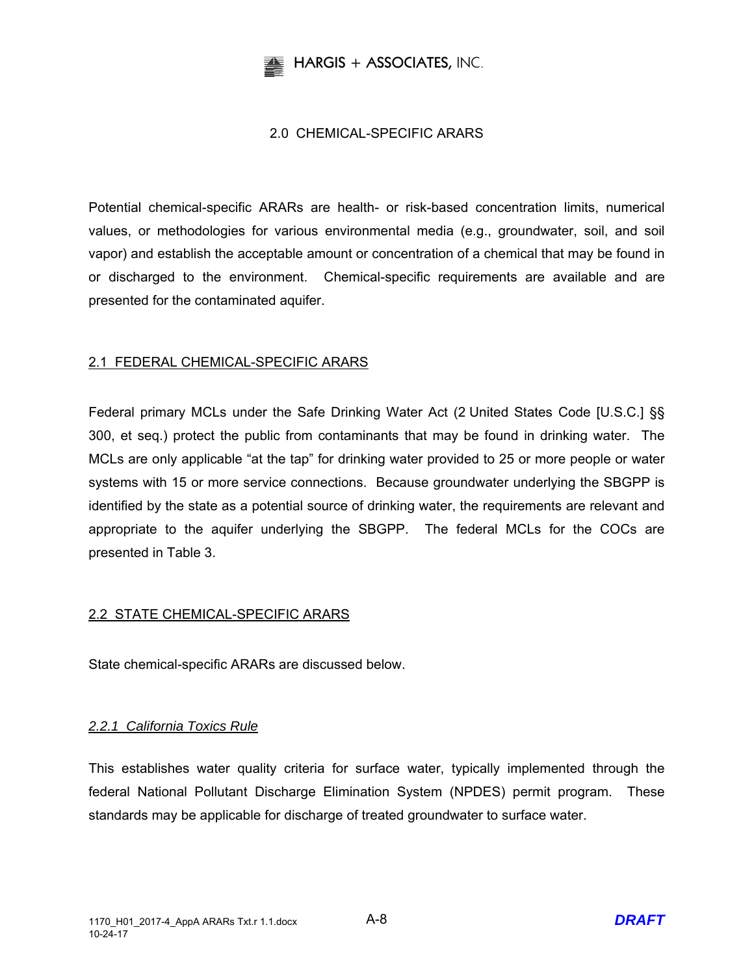

## 2.0 CHEMICAL-SPECIFIC ARARS

Potential chemical-specific ARARs are health- or risk-based concentration limits, numerical values, or methodologies for various environmental media (e.g., groundwater, soil, and soil vapor) and establish the acceptable amount or concentration of a chemical that may be found in or discharged to the environment. Chemical-specific requirements are available and are presented for the contaminated aquifer.

## 2.1 FEDERAL CHEMICAL-SPECIFIC ARARS

Federal primary MCLs under the Safe Drinking Water Act (2 United States Code [U.S.C.] §§ 300, et seq.) protect the public from contaminants that may be found in drinking water. The MCLs are only applicable "at the tap" for drinking water provided to 25 or more people or water systems with 15 or more service connections. Because groundwater underlying the SBGPP is identified by the state as a potential source of drinking water, the requirements are relevant and appropriate to the aquifer underlying the SBGPP. The federal MCLs for the COCs are presented in Table 3.

## 2.2 STATE CHEMICAL-SPECIFIC ARARS

State chemical-specific ARARs are discussed below.

## *2.2.1 California Toxics Rule*

This establishes water quality criteria for surface water, typically implemented through the federal National Pollutant Discharge Elimination System (NPDES) permit program. These standards may be applicable for discharge of treated groundwater to surface water.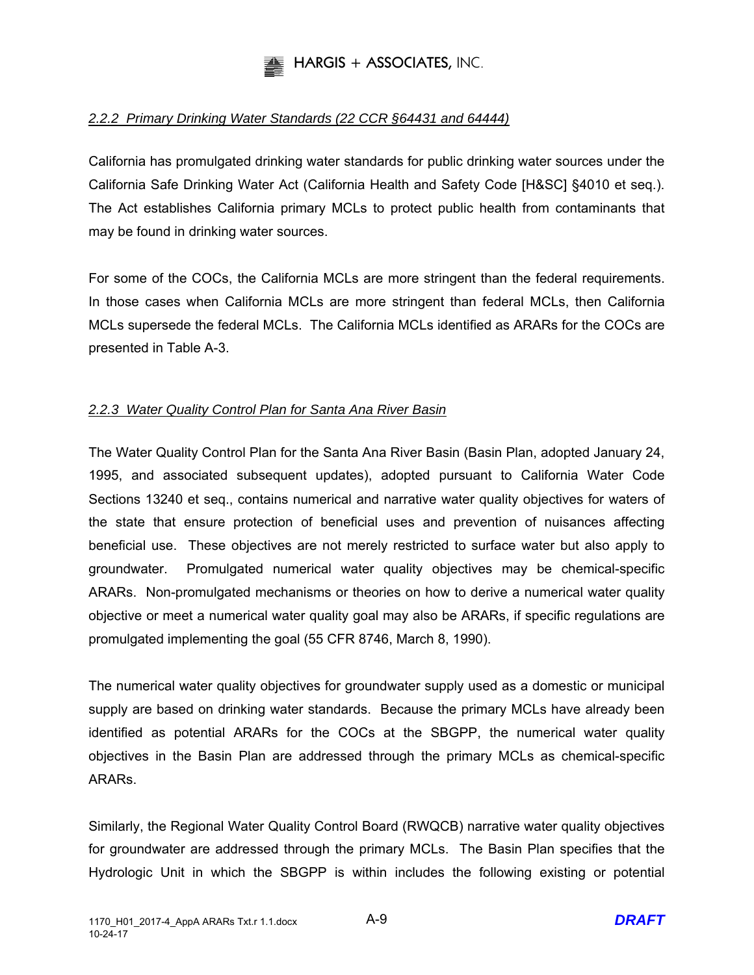

## *2.2.2 Primary Drinking Water Standards (22 CCR §64431 and 64444)*

California has promulgated drinking water standards for public drinking water sources under the California Safe Drinking Water Act (California Health and Safety Code [H&SC] §4010 et seq.). The Act establishes California primary MCLs to protect public health from contaminants that may be found in drinking water sources.

For some of the COCs, the California MCLs are more stringent than the federal requirements. In those cases when California MCLs are more stringent than federal MCLs, then California MCLs supersede the federal MCLs. The California MCLs identified as ARARs for the COCs are presented in Table A-3.

## *2.2.3 Water Quality Control Plan for Santa Ana River Basin*

The Water Quality Control Plan for the Santa Ana River Basin (Basin Plan, adopted January 24, 1995, and associated subsequent updates), adopted pursuant to California Water Code Sections 13240 et seq., contains numerical and narrative water quality objectives for waters of the state that ensure protection of beneficial uses and prevention of nuisances affecting beneficial use. These objectives are not merely restricted to surface water but also apply to groundwater. Promulgated numerical water quality objectives may be chemical-specific ARARs. Non-promulgated mechanisms or theories on how to derive a numerical water quality objective or meet a numerical water quality goal may also be ARARs, if specific regulations are promulgated implementing the goal (55 CFR 8746, March 8, 1990).

The numerical water quality objectives for groundwater supply used as a domestic or municipal supply are based on drinking water standards. Because the primary MCLs have already been identified as potential ARARs for the COCs at the SBGPP, the numerical water quality objectives in the Basin Plan are addressed through the primary MCLs as chemical-specific ARARs.

Similarly, the Regional Water Quality Control Board (RWQCB) narrative water quality objectives for groundwater are addressed through the primary MCLs. The Basin Plan specifies that the Hydrologic Unit in which the SBGPP is within includes the following existing or potential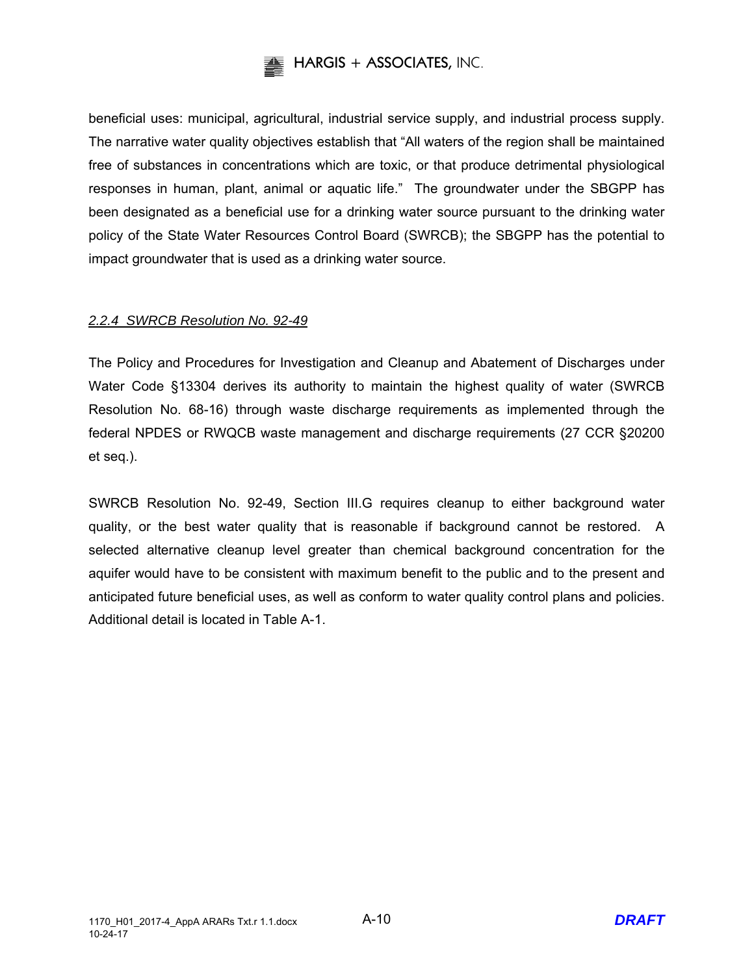

beneficial uses: municipal, agricultural, industrial service supply, and industrial process supply. The narrative water quality objectives establish that "All waters of the region shall be maintained free of substances in concentrations which are toxic, or that produce detrimental physiological responses in human, plant, animal or aquatic life." The groundwater under the SBGPP has been designated as a beneficial use for a drinking water source pursuant to the drinking water policy of the State Water Resources Control Board (SWRCB); the SBGPP has the potential to impact groundwater that is used as a drinking water source.

## *2.2.4 SWRCB Resolution No. 92-49*

The Policy and Procedures for Investigation and Cleanup and Abatement of Discharges under Water Code §13304 derives its authority to maintain the highest quality of water (SWRCB Resolution No. 68-16) through waste discharge requirements as implemented through the federal NPDES or RWQCB waste management and discharge requirements (27 CCR §20200 et seq.).

SWRCB Resolution No. 92-49, Section III.G requires cleanup to either background water quality, or the best water quality that is reasonable if background cannot be restored. A selected alternative cleanup level greater than chemical background concentration for the aquifer would have to be consistent with maximum benefit to the public and to the present and anticipated future beneficial uses, as well as conform to water quality control plans and policies. Additional detail is located in Table A-1.

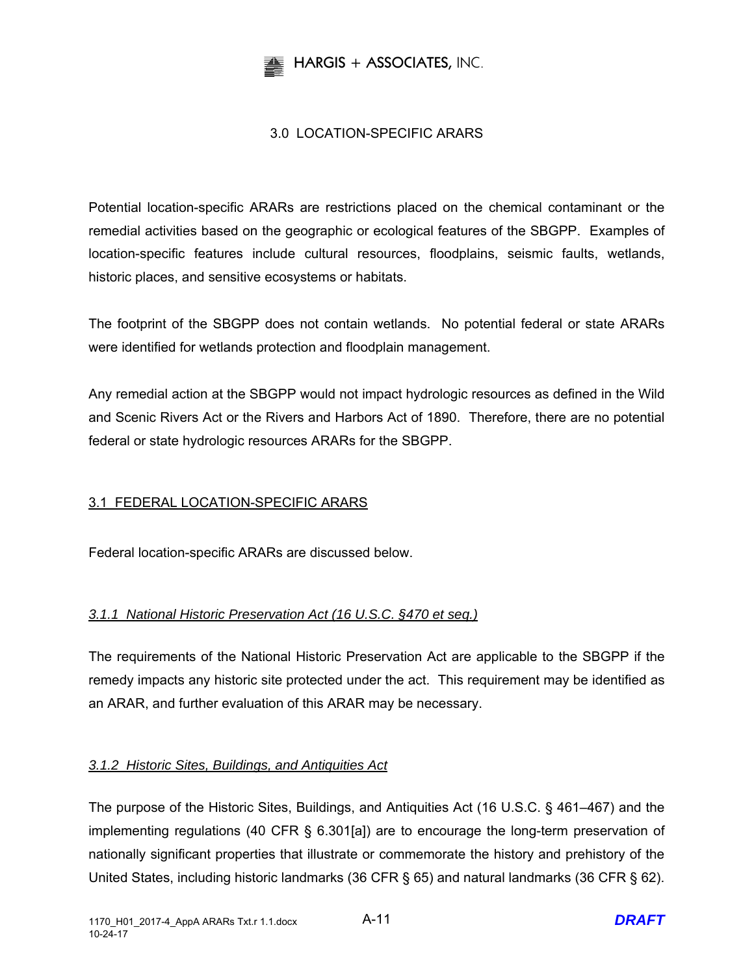

## 3.0 LOCATION-SPECIFIC ARARS

Potential location-specific ARARs are restrictions placed on the chemical contaminant or the remedial activities based on the geographic or ecological features of the SBGPP. Examples of location-specific features include cultural resources, floodplains, seismic faults, wetlands, historic places, and sensitive ecosystems or habitats.

The footprint of the SBGPP does not contain wetlands. No potential federal or state ARARs were identified for wetlands protection and floodplain management.

Any remedial action at the SBGPP would not impact hydrologic resources as defined in the Wild and Scenic Rivers Act or the Rivers and Harbors Act of 1890. Therefore, there are no potential federal or state hydrologic resources ARARs for the SBGPP.

## 3.1 FEDERAL LOCATION-SPECIFIC ARARS

Federal location-specific ARARs are discussed below.

## *3.1.1 National Historic Preservation Act (16 U.S.C. §470 et seq.)*

The requirements of the National Historic Preservation Act are applicable to the SBGPP if the remedy impacts any historic site protected under the act. This requirement may be identified as an ARAR, and further evaluation of this ARAR may be necessary.

## *3.1.2 Historic Sites, Buildings, and Antiquities Act*

The purpose of the Historic Sites, Buildings, and Antiquities Act (16 U.S.C. § 461–467) and the implementing regulations (40 CFR § 6.301[a]) are to encourage the long-term preservation of nationally significant properties that illustrate or commemorate the history and prehistory of the United States, including historic landmarks (36 CFR § 65) and natural landmarks (36 CFR § 62).

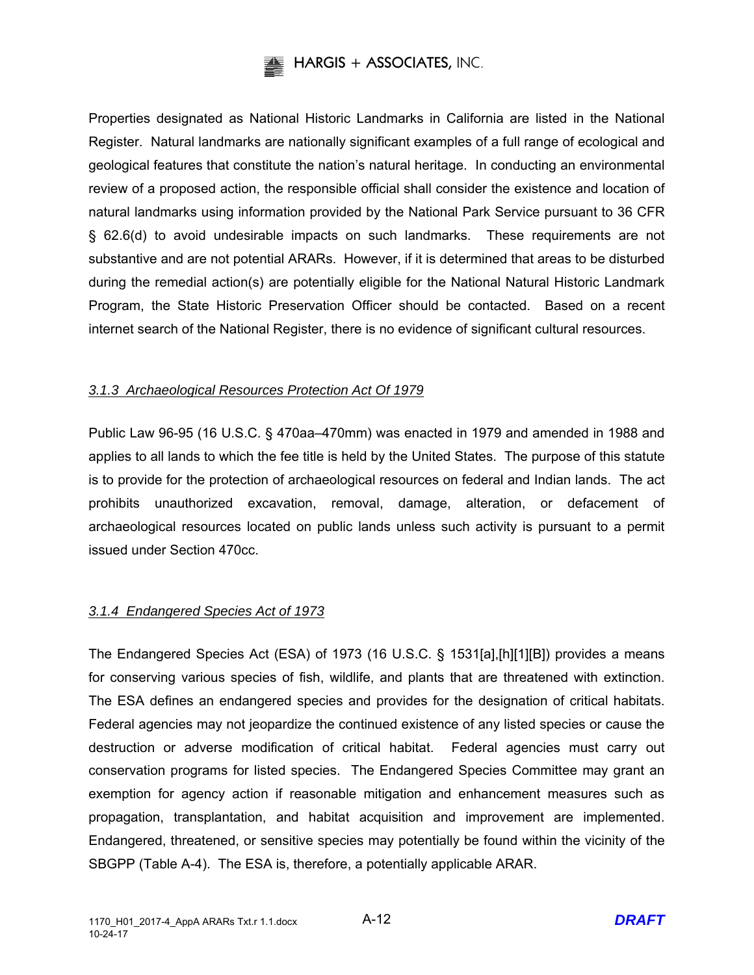

Properties designated as National Historic Landmarks in California are listed in the National Register. Natural landmarks are nationally significant examples of a full range of ecological and geological features that constitute the nation's natural heritage. In conducting an environmental review of a proposed action, the responsible official shall consider the existence and location of natural landmarks using information provided by the National Park Service pursuant to 36 CFR § 62.6(d) to avoid undesirable impacts on such landmarks. These requirements are not substantive and are not potential ARARs. However, if it is determined that areas to be disturbed during the remedial action(s) are potentially eligible for the National Natural Historic Landmark Program, the State Historic Preservation Officer should be contacted. Based on a recent internet search of the National Register, there is no evidence of significant cultural resources.

## *3.1.3 Archaeological Resources Protection Act Of 1979*

Public Law 96-95 (16 U.S.C. § 470aa–470mm) was enacted in 1979 and amended in 1988 and applies to all lands to which the fee title is held by the United States. The purpose of this statute is to provide for the protection of archaeological resources on federal and Indian lands. The act prohibits unauthorized excavation, removal, damage, alteration, or defacement of archaeological resources located on public lands unless such activity is pursuant to a permit issued under Section 470cc.

## *3.1.4 Endangered Species Act of 1973*

The Endangered Species Act (ESA) of 1973 (16 U.S.C. § 1531[a],[h][1][B]) provides a means for conserving various species of fish, wildlife, and plants that are threatened with extinction. The ESA defines an endangered species and provides for the designation of critical habitats. Federal agencies may not jeopardize the continued existence of any listed species or cause the destruction or adverse modification of critical habitat. Federal agencies must carry out conservation programs for listed species. The Endangered Species Committee may grant an exemption for agency action if reasonable mitigation and enhancement measures such as propagation, transplantation, and habitat acquisition and improvement are implemented. Endangered, threatened, or sensitive species may potentially be found within the vicinity of the SBGPP (Table A-4). The ESA is, therefore, a potentially applicable ARAR.

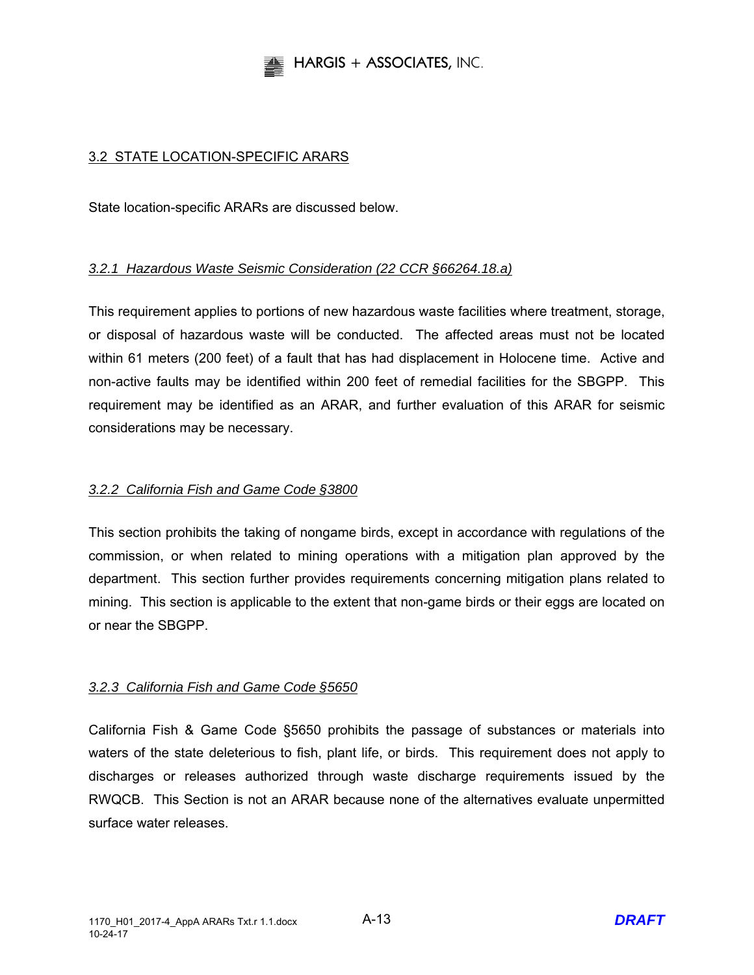

## 3.2 STATE LOCATION-SPECIFIC ARARS

State location-specific ARARs are discussed below.

## *3.2.1 Hazardous Waste Seismic Consideration (22 CCR §66264.18.a)*

This requirement applies to portions of new hazardous waste facilities where treatment, storage, or disposal of hazardous waste will be conducted. The affected areas must not be located within 61 meters (200 feet) of a fault that has had displacement in Holocene time. Active and non-active faults may be identified within 200 feet of remedial facilities for the SBGPP. This requirement may be identified as an ARAR, and further evaluation of this ARAR for seismic considerations may be necessary.

#### *3.2.2 California Fish and Game Code §3800*

This section prohibits the taking of nongame birds, except in accordance with regulations of the commission, or when related to mining operations with a mitigation plan approved by the department. This section further provides requirements concerning mitigation plans related to mining. This section is applicable to the extent that non-game birds or their eggs are located on or near the SBGPP.

#### *3.2.3 California Fish and Game Code §5650*

California Fish & Game Code §5650 prohibits the passage of substances or materials into waters of the state deleterious to fish, plant life, or birds. This requirement does not apply to discharges or releases authorized through waste discharge requirements issued by the RWQCB. This Section is not an ARAR because none of the alternatives evaluate unpermitted surface water releases.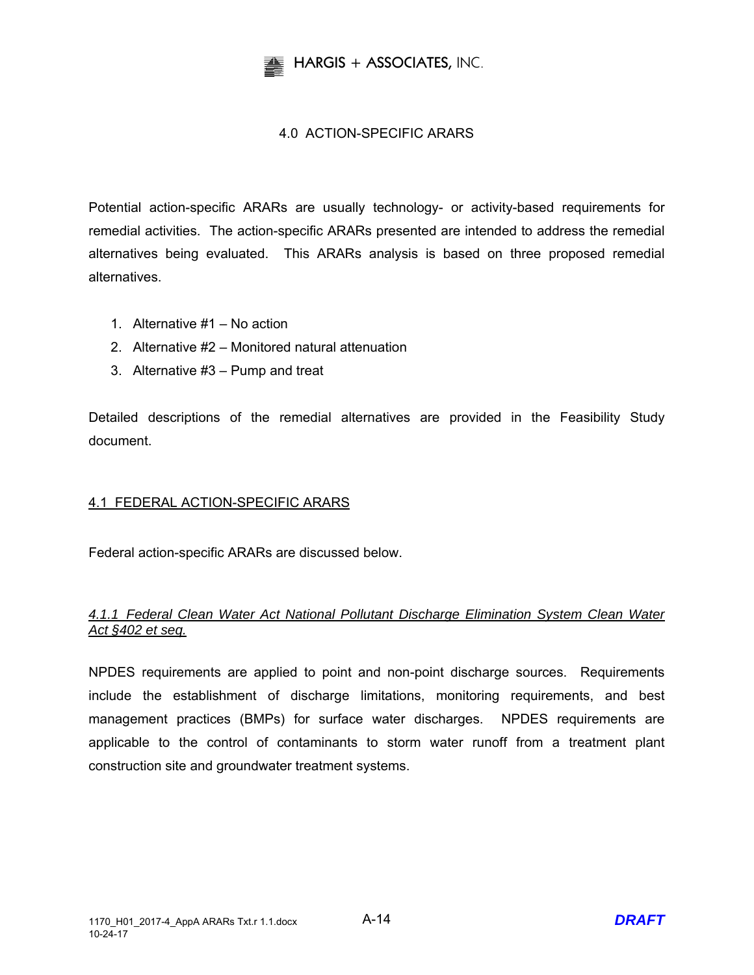

## 4.0 ACTION-SPECIFIC ARARS

Potential action-specific ARARs are usually technology- or activity-based requirements for remedial activities. The action-specific ARARs presented are intended to address the remedial alternatives being evaluated. This ARARs analysis is based on three proposed remedial alternatives.

- 1. Alternative #1 No action
- 2. Alternative #2 Monitored natural attenuation
- 3. Alternative #3 Pump and treat

Detailed descriptions of the remedial alternatives are provided in the Feasibility Study document.

## 4.1 FEDERAL ACTION-SPECIFIC ARARS

Federal action-specific ARARs are discussed below.

## *4.1.1 Federal Clean Water Act National Pollutant Discharge Elimination System Clean Water Act §402 et seq.*

NPDES requirements are applied to point and non-point discharge sources. Requirements include the establishment of discharge limitations, monitoring requirements, and best management practices (BMPs) for surface water discharges. NPDES requirements are applicable to the control of contaminants to storm water runoff from a treatment plant construction site and groundwater treatment systems.

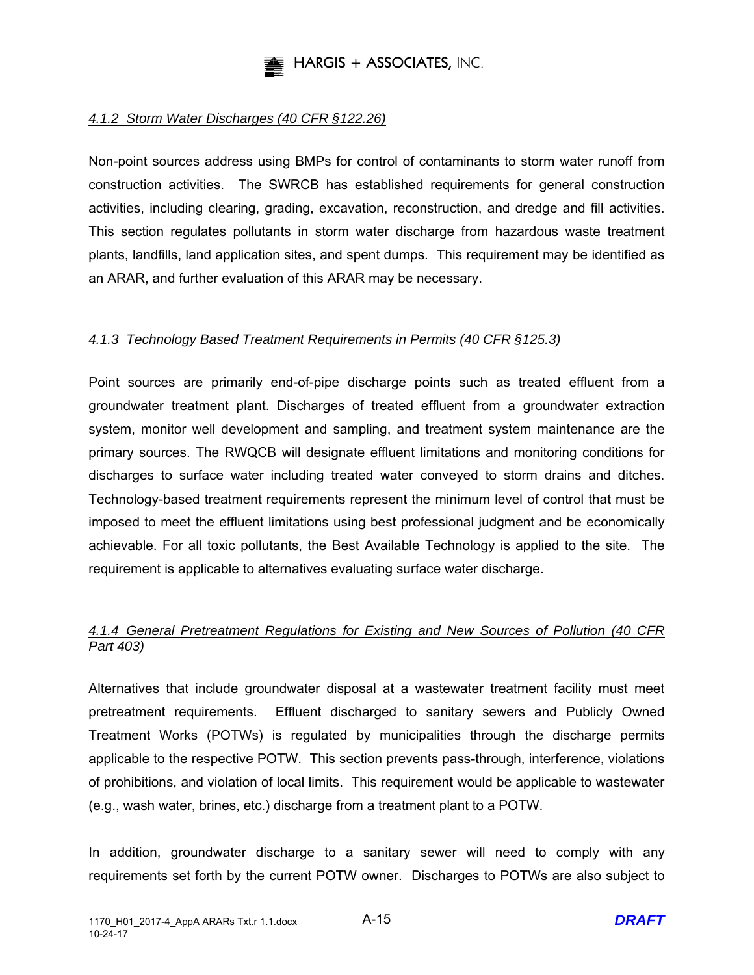

## *4.1.2 Storm Water Discharges (40 CFR §122.26)*

Non-point sources address using BMPs for control of contaminants to storm water runoff from construction activities. The SWRCB has established requirements for general construction activities, including clearing, grading, excavation, reconstruction, and dredge and fill activities. This section regulates pollutants in storm water discharge from hazardous waste treatment plants, landfills, land application sites, and spent dumps. This requirement may be identified as an ARAR, and further evaluation of this ARAR may be necessary.

## *4.1.3 Technology Based Treatment Requirements in Permits (40 CFR §125.3)*

Point sources are primarily end-of-pipe discharge points such as treated effluent from a groundwater treatment plant. Discharges of treated effluent from a groundwater extraction system, monitor well development and sampling, and treatment system maintenance are the primary sources. The RWQCB will designate effluent limitations and monitoring conditions for discharges to surface water including treated water conveyed to storm drains and ditches. Technology-based treatment requirements represent the minimum level of control that must be imposed to meet the effluent limitations using best professional judgment and be economically achievable. For all toxic pollutants, the Best Available Technology is applied to the site. The requirement is applicable to alternatives evaluating surface water discharge.

## *4.1.4 General Pretreatment Regulations for Existing and New Sources of Pollution (40 CFR Part 403)*

Alternatives that include groundwater disposal at a wastewater treatment facility must meet pretreatment requirements. Effluent discharged to sanitary sewers and Publicly Owned Treatment Works (POTWs) is regulated by municipalities through the discharge permits applicable to the respective POTW. This section prevents pass-through, interference, violations of prohibitions, and violation of local limits. This requirement would be applicable to wastewater (e.g., wash water, brines, etc.) discharge from a treatment plant to a POTW.

In addition, groundwater discharge to a sanitary sewer will need to comply with any requirements set forth by the current POTW owner. Discharges to POTWs are also subject to

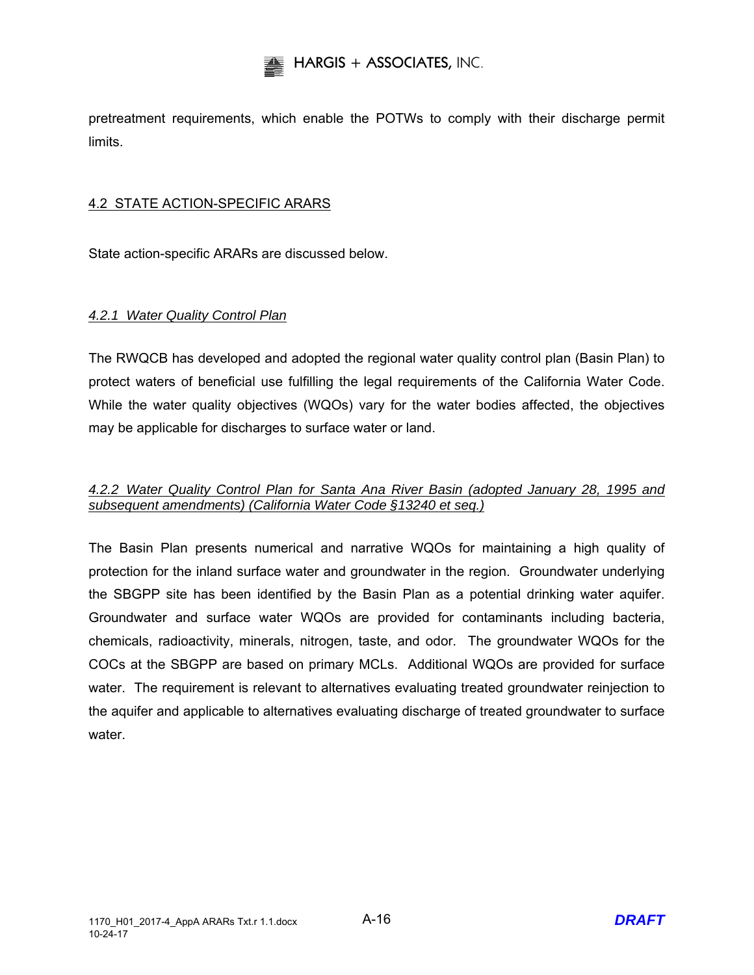pretreatment requirements, which enable the POTWs to comply with their discharge permit limits.

## 4.2 STATE ACTION-SPECIFIC ARARS

State action-specific ARARs are discussed below.

## *4.2.1 Water Quality Control Plan*

The RWQCB has developed and adopted the regional water quality control plan (Basin Plan) to protect waters of beneficial use fulfilling the legal requirements of the California Water Code. While the water quality objectives (WQOs) vary for the water bodies affected, the objectives may be applicable for discharges to surface water or land.

## *4.2.2 Water Quality Control Plan for Santa Ana River Basin (adopted January 28, 1995 and subsequent amendments) (California Water Code §13240 et seq.)*

The Basin Plan presents numerical and narrative WQOs for maintaining a high quality of protection for the inland surface water and groundwater in the region. Groundwater underlying the SBGPP site has been identified by the Basin Plan as a potential drinking water aquifer. Groundwater and surface water WQOs are provided for contaminants including bacteria, chemicals, radioactivity, minerals, nitrogen, taste, and odor. The groundwater WQOs for the COCs at the SBGPP are based on primary MCLs. Additional WQOs are provided for surface water. The requirement is relevant to alternatives evaluating treated groundwater reinjection to the aquifer and applicable to alternatives evaluating discharge of treated groundwater to surface water.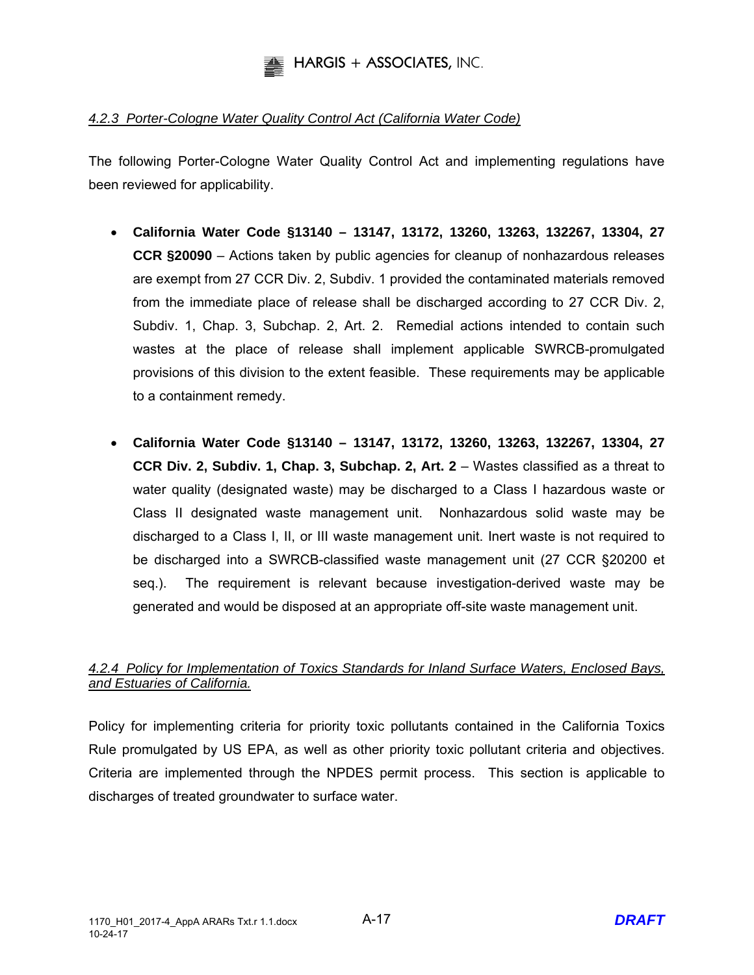

## *4.2.3 Porter-Cologne Water Quality Control Act (California Water Code)*

The following Porter-Cologne Water Quality Control Act and implementing regulations have been reviewed for applicability.

- **California Water Code §13140 13147, 13172, 13260, 13263, 132267, 13304, 27 CCR §20090** – Actions taken by public agencies for cleanup of nonhazardous releases are exempt from 27 CCR Div. 2, Subdiv. 1 provided the contaminated materials removed from the immediate place of release shall be discharged according to 27 CCR Div. 2, Subdiv. 1, Chap. 3, Subchap. 2, Art. 2. Remedial actions intended to contain such wastes at the place of release shall implement applicable SWRCB-promulgated provisions of this division to the extent feasible. These requirements may be applicable to a containment remedy.
- **California Water Code §13140 13147, 13172, 13260, 13263, 132267, 13304, 27 CCR Div. 2, Subdiv. 1, Chap. 3, Subchap. 2, Art. 2** – Wastes classified as a threat to water quality (designated waste) may be discharged to a Class I hazardous waste or Class II designated waste management unit. Nonhazardous solid waste may be discharged to a Class I, II, or III waste management unit. Inert waste is not required to be discharged into a SWRCB-classified waste management unit (27 CCR §20200 et seq.). The requirement is relevant because investigation-derived waste may be generated and would be disposed at an appropriate off-site waste management unit.

## *4.2.4 Policy for Implementation of Toxics Standards for Inland Surface Waters, Enclosed Bays, and Estuaries of California.*

Policy for implementing criteria for priority toxic pollutants contained in the California Toxics Rule promulgated by US EPA, as well as other priority toxic pollutant criteria and objectives. Criteria are implemented through the NPDES permit process. This section is applicable to discharges of treated groundwater to surface water.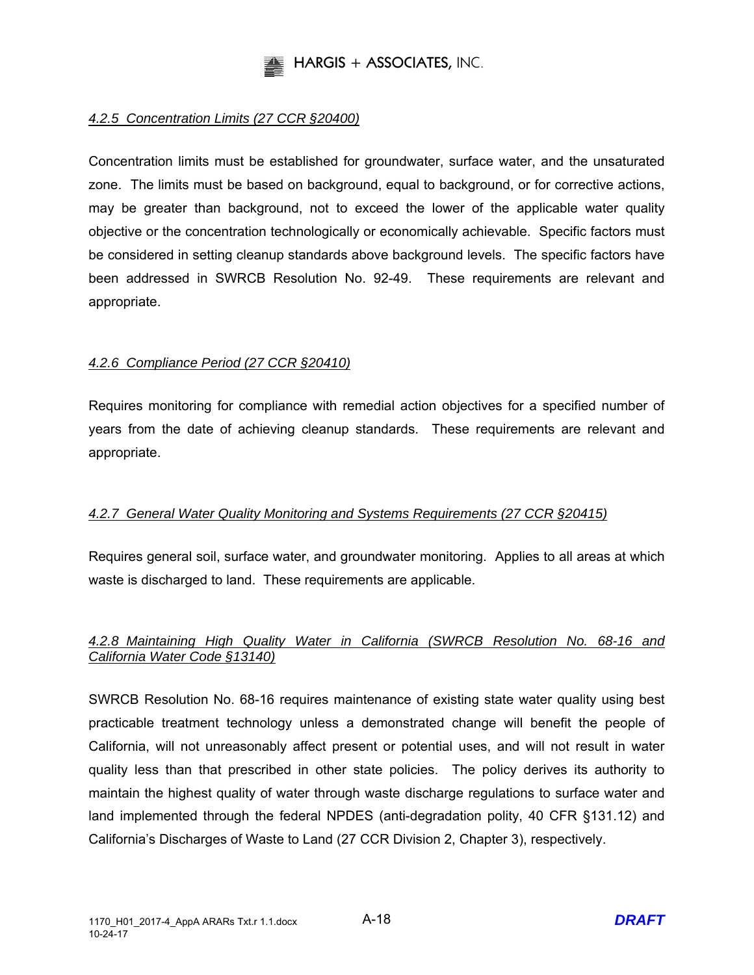

## *4.2.5 Concentration Limits (27 CCR §20400)*

Concentration limits must be established for groundwater, surface water, and the unsaturated zone. The limits must be based on background, equal to background, or for corrective actions, may be greater than background, not to exceed the lower of the applicable water quality objective or the concentration technologically or economically achievable. Specific factors must be considered in setting cleanup standards above background levels. The specific factors have been addressed in SWRCB Resolution No. 92-49. These requirements are relevant and appropriate.

## *4.2.6 Compliance Period (27 CCR §20410)*

Requires monitoring for compliance with remedial action objectives for a specified number of years from the date of achieving cleanup standards. These requirements are relevant and appropriate.

## *4.2.7 General Water Quality Monitoring and Systems Requirements (27 CCR §20415)*

Requires general soil, surface water, and groundwater monitoring. Applies to all areas at which waste is discharged to land. These requirements are applicable.

## *4.2.8 Maintaining High Quality Water in California (SWRCB Resolution No. 68-16 and California Water Code §13140)*

SWRCB Resolution No. 68-16 requires maintenance of existing state water quality using best practicable treatment technology unless a demonstrated change will benefit the people of California, will not unreasonably affect present or potential uses, and will not result in water quality less than that prescribed in other state policies. The policy derives its authority to maintain the highest quality of water through waste discharge regulations to surface water and land implemented through the federal NPDES (anti-degradation polity, 40 CFR §131.12) and California's Discharges of Waste to Land (27 CCR Division 2, Chapter 3), respectively.

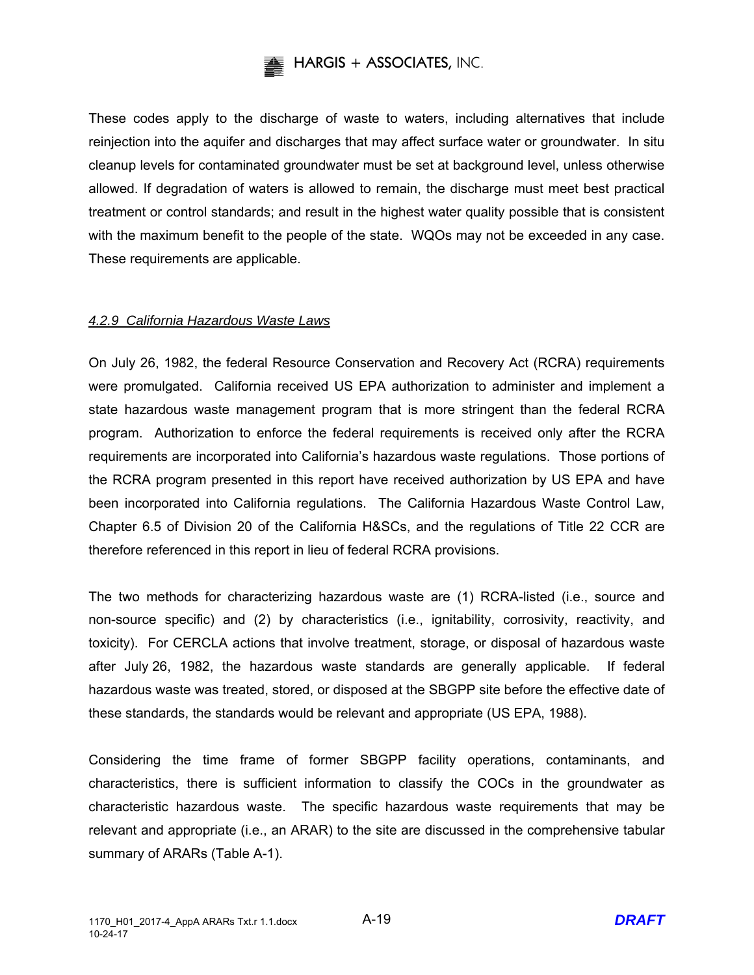

These codes apply to the discharge of waste to waters, including alternatives that include reinjection into the aquifer and discharges that may affect surface water or groundwater. In situ cleanup levels for contaminated groundwater must be set at background level, unless otherwise allowed. If degradation of waters is allowed to remain, the discharge must meet best practical treatment or control standards; and result in the highest water quality possible that is consistent with the maximum benefit to the people of the state. WQOs may not be exceeded in any case. These requirements are applicable.

## *4.2.9 California Hazardous Waste Laws*

On July 26, 1982, the federal Resource Conservation and Recovery Act (RCRA) requirements were promulgated. California received US EPA authorization to administer and implement a state hazardous waste management program that is more stringent than the federal RCRA program. Authorization to enforce the federal requirements is received only after the RCRA requirements are incorporated into California's hazardous waste regulations. Those portions of the RCRA program presented in this report have received authorization by US EPA and have been incorporated into California regulations. The California Hazardous Waste Control Law, Chapter 6.5 of Division 20 of the California H&SCs, and the regulations of Title 22 CCR are therefore referenced in this report in lieu of federal RCRA provisions.

The two methods for characterizing hazardous waste are (1) RCRA-listed (i.e., source and non-source specific) and (2) by characteristics (i.e., ignitability, corrosivity, reactivity, and toxicity). For CERCLA actions that involve treatment, storage, or disposal of hazardous waste after July 26, 1982, the hazardous waste standards are generally applicable. If federal hazardous waste was treated, stored, or disposed at the SBGPP site before the effective date of these standards, the standards would be relevant and appropriate (US EPA, 1988).

Considering the time frame of former SBGPP facility operations, contaminants, and characteristics, there is sufficient information to classify the COCs in the groundwater as characteristic hazardous waste. The specific hazardous waste requirements that may be relevant and appropriate (i.e., an ARAR) to the site are discussed in the comprehensive tabular summary of ARARs (Table A-1).

A-19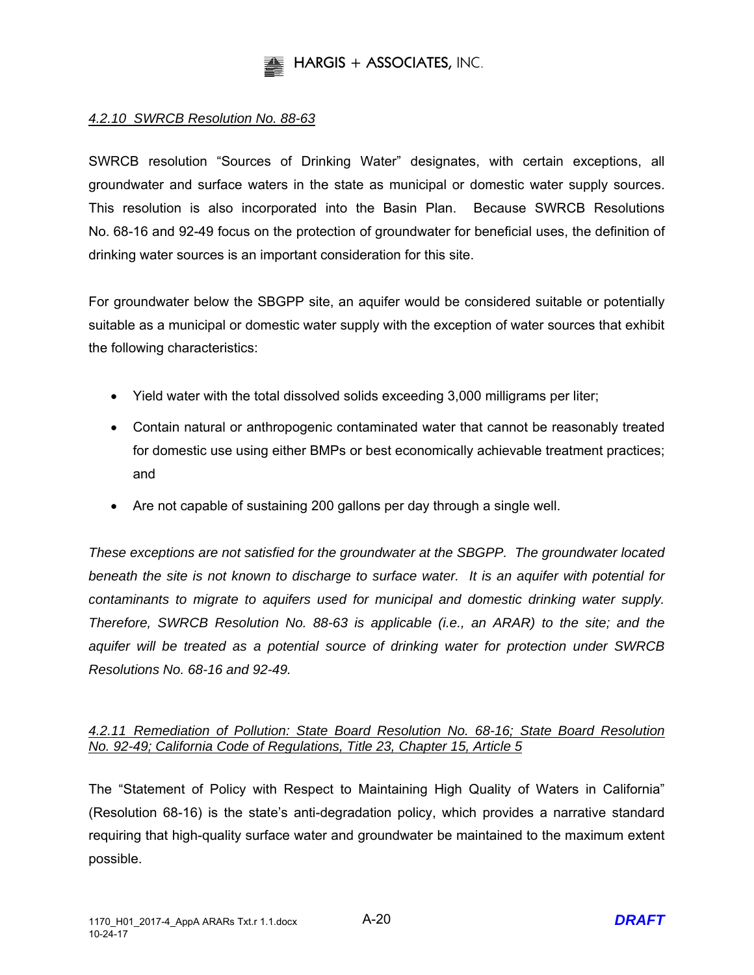

## *4.2.10 SWRCB Resolution No. 88-63*

SWRCB resolution "Sources of Drinking Water" designates, with certain exceptions, all groundwater and surface waters in the state as municipal or domestic water supply sources. This resolution is also incorporated into the Basin Plan. Because SWRCB Resolutions No. 68-16 and 92-49 focus on the protection of groundwater for beneficial uses, the definition of drinking water sources is an important consideration for this site.

For groundwater below the SBGPP site, an aquifer would be considered suitable or potentially suitable as a municipal or domestic water supply with the exception of water sources that exhibit the following characteristics:

- Yield water with the total dissolved solids exceeding 3,000 milligrams per liter;
- Contain natural or anthropogenic contaminated water that cannot be reasonably treated for domestic use using either BMPs or best economically achievable treatment practices; and
- Are not capable of sustaining 200 gallons per day through a single well.

*These exceptions are not satisfied for the groundwater at the SBGPP. The groundwater located beneath the site is not known to discharge to surface water. It is an aquifer with potential for contaminants to migrate to aquifers used for municipal and domestic drinking water supply. Therefore, SWRCB Resolution No. 88-63 is applicable (i.e., an ARAR) to the site; and the aquifer will be treated as a potential source of drinking water for protection under SWRCB Resolutions No. 68-16 and 92-49.* 

## *4.2.11 Remediation of Pollution: State Board Resolution No. 68-16; State Board Resolution No. 92-49; California Code of Regulations, Title 23, Chapter 15, Article 5*

The "Statement of Policy with Respect to Maintaining High Quality of Waters in California" (Resolution 68-16) is the state's anti-degradation policy, which provides a narrative standard requiring that high-quality surface water and groundwater be maintained to the maximum extent possible.

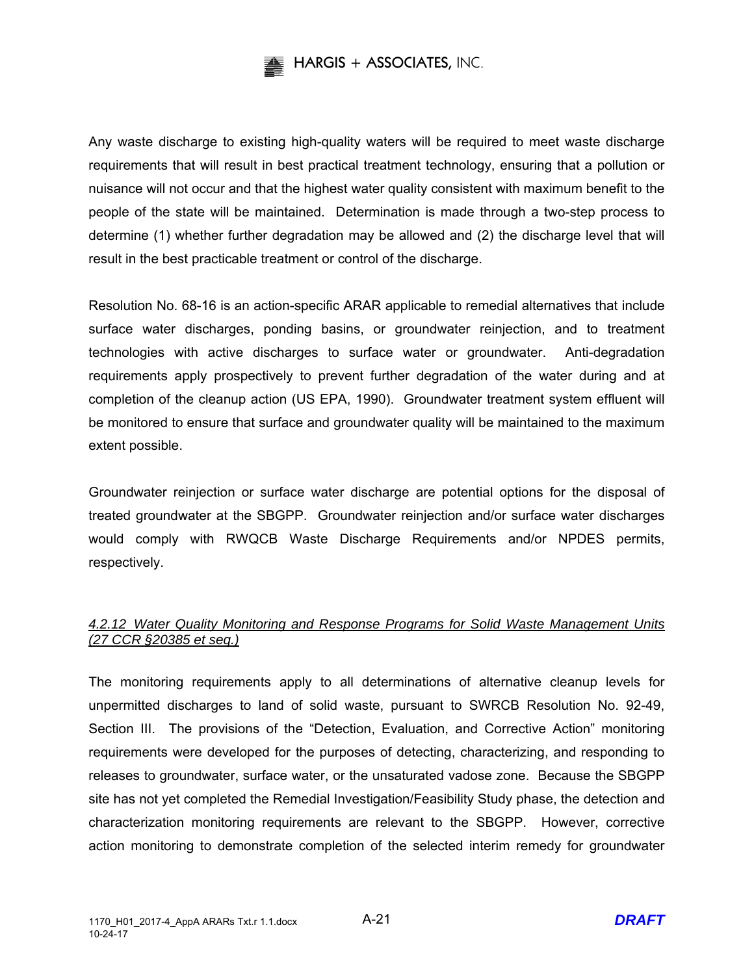

Any waste discharge to existing high-quality waters will be required to meet waste discharge requirements that will result in best practical treatment technology, ensuring that a pollution or nuisance will not occur and that the highest water quality consistent with maximum benefit to the people of the state will be maintained. Determination is made through a two-step process to determine (1) whether further degradation may be allowed and (2) the discharge level that will result in the best practicable treatment or control of the discharge.

Resolution No. 68-16 is an action-specific ARAR applicable to remedial alternatives that include surface water discharges, ponding basins, or groundwater reinjection, and to treatment technologies with active discharges to surface water or groundwater. Anti-degradation requirements apply prospectively to prevent further degradation of the water during and at completion of the cleanup action (US EPA, 1990). Groundwater treatment system effluent will be monitored to ensure that surface and groundwater quality will be maintained to the maximum extent possible.

Groundwater reinjection or surface water discharge are potential options for the disposal of treated groundwater at the SBGPP. Groundwater reinjection and/or surface water discharges would comply with RWQCB Waste Discharge Requirements and/or NPDES permits, respectively.

## *4.2.12 Water Quality Monitoring and Response Programs for Solid Waste Management Units (27 CCR §20385 et seq.)*

The monitoring requirements apply to all determinations of alternative cleanup levels for unpermitted discharges to land of solid waste, pursuant to SWRCB Resolution No. 92-49, Section III. The provisions of the "Detection, Evaluation, and Corrective Action" monitoring requirements were developed for the purposes of detecting, characterizing, and responding to releases to groundwater, surface water, or the unsaturated vadose zone. Because the SBGPP site has not yet completed the Remedial Investigation/Feasibility Study phase, the detection and characterization monitoring requirements are relevant to the SBGPP. However, corrective action monitoring to demonstrate completion of the selected interim remedy for groundwater

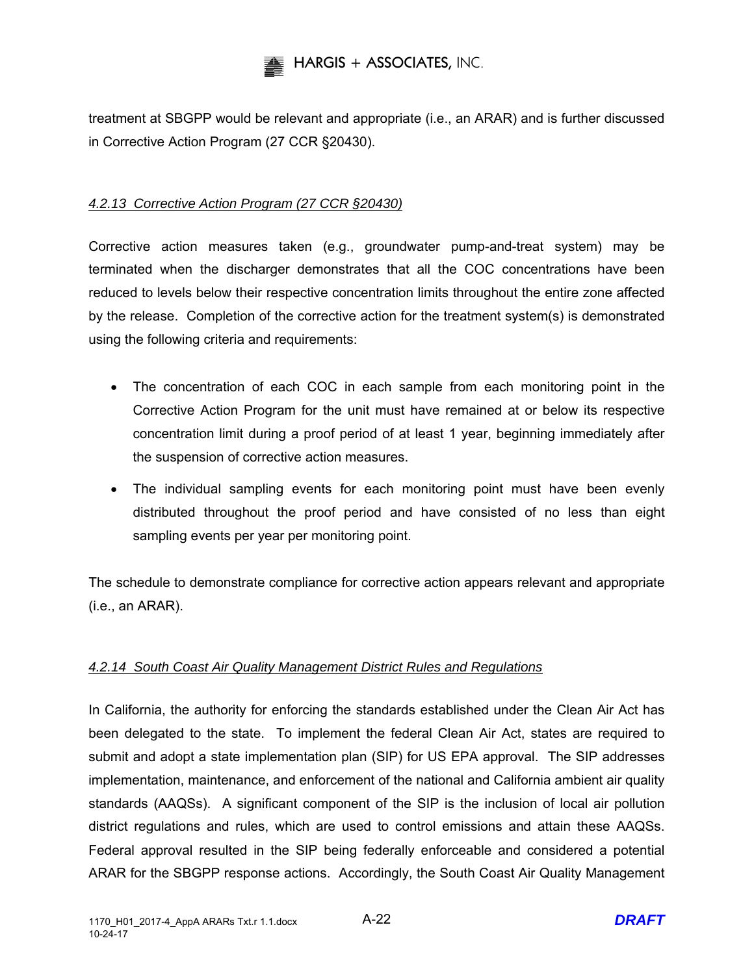

treatment at SBGPP would be relevant and appropriate (i.e., an ARAR) and is further discussed in Corrective Action Program (27 CCR §20430).

## *4.2.13 Corrective Action Program (27 CCR §20430)*

Corrective action measures taken (e.g., groundwater pump-and-treat system) may be terminated when the discharger demonstrates that all the COC concentrations have been reduced to levels below their respective concentration limits throughout the entire zone affected by the release. Completion of the corrective action for the treatment system(s) is demonstrated using the following criteria and requirements:

- The concentration of each COC in each sample from each monitoring point in the Corrective Action Program for the unit must have remained at or below its respective concentration limit during a proof period of at least 1 year, beginning immediately after the suspension of corrective action measures.
- The individual sampling events for each monitoring point must have been evenly distributed throughout the proof period and have consisted of no less than eight sampling events per year per monitoring point.

The schedule to demonstrate compliance for corrective action appears relevant and appropriate (i.e., an ARAR).

## *4.2.14 South Coast Air Quality Management District Rules and Regulations*

In California, the authority for enforcing the standards established under the Clean Air Act has been delegated to the state. To implement the federal Clean Air Act, states are required to submit and adopt a state implementation plan (SIP) for US EPA approval. The SIP addresses implementation, maintenance, and enforcement of the national and California ambient air quality standards (AAQSs). A significant component of the SIP is the inclusion of local air pollution district regulations and rules, which are used to control emissions and attain these AAQSs. Federal approval resulted in the SIP being federally enforceable and considered a potential ARAR for the SBGPP response actions. Accordingly, the South Coast Air Quality Management

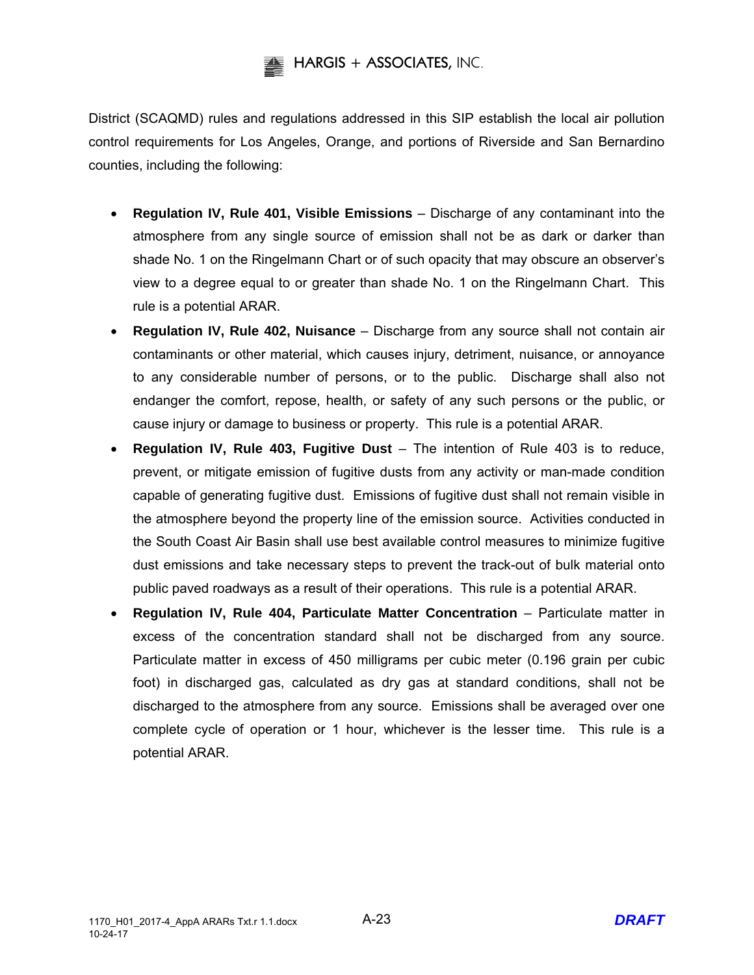District (SCAQMD) rules and regulations addressed in this SIP establish the local air pollution control requirements for Los Angeles, Orange, and portions of Riverside and San Bernardino counties, including the following:

- **Regulation IV, Rule 401, Visible Emissions** Discharge of any contaminant into the atmosphere from any single source of emission shall not be as dark or darker than shade No. 1 on the Ringelmann Chart or of such opacity that may obscure an observer's view to a degree equal to or greater than shade No. 1 on the Ringelmann Chart. This rule is a potential ARAR.
- **Regulation IV, Rule 402, Nuisance** Discharge from any source shall not contain air contaminants or other material, which causes injury, detriment, nuisance, or annoyance to any considerable number of persons, or to the public. Discharge shall also not endanger the comfort, repose, health, or safety of any such persons or the public, or cause injury or damage to business or property. This rule is a potential ARAR.
- **Regulation IV, Rule 403, Fugitive Dust**  The intention of Rule 403 is to reduce, prevent, or mitigate emission of fugitive dusts from any activity or man-made condition capable of generating fugitive dust. Emissions of fugitive dust shall not remain visible in the atmosphere beyond the property line of the emission source. Activities conducted in the South Coast Air Basin shall use best available control measures to minimize fugitive dust emissions and take necessary steps to prevent the track-out of bulk material onto public paved roadways as a result of their operations. This rule is a potential ARAR.
- **Regulation IV, Rule 404, Particulate Matter Concentration** Particulate matter in excess of the concentration standard shall not be discharged from any source. Particulate matter in excess of 450 milligrams per cubic meter (0.196 grain per cubic foot) in discharged gas, calculated as dry gas at standard conditions, shall not be discharged to the atmosphere from any source. Emissions shall be averaged over one complete cycle of operation or 1 hour, whichever is the lesser time. This rule is a potential ARAR.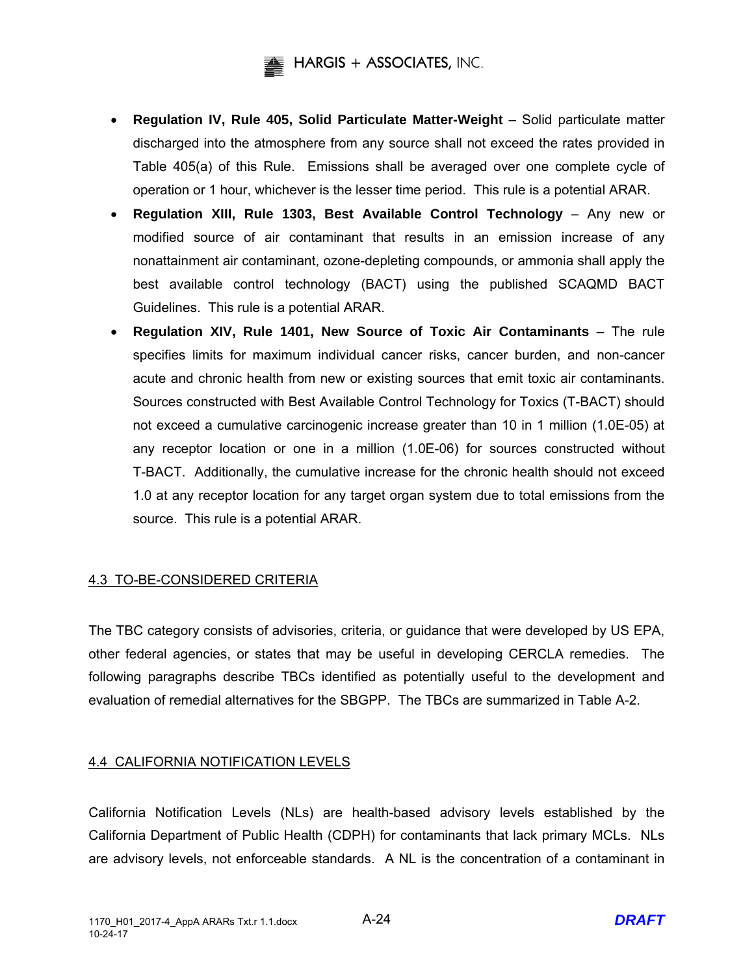

- **Regulation IV, Rule 405, Solid Particulate Matter-Weight** Solid particulate matter discharged into the atmosphere from any source shall not exceed the rates provided in Table 405(a) of this Rule. Emissions shall be averaged over one complete cycle of operation or 1 hour, whichever is the lesser time period. This rule is a potential ARAR.
- **Regulation XIII, Rule 1303, Best Available Control Technology** Any new or modified source of air contaminant that results in an emission increase of any nonattainment air contaminant, ozone-depleting compounds, or ammonia shall apply the best available control technology (BACT) using the published SCAQMD BACT Guidelines. This rule is a potential ARAR.
- **Regulation XIV, Rule 1401, New Source of Toxic Air Contaminants** The rule specifies limits for maximum individual cancer risks, cancer burden, and non-cancer acute and chronic health from new or existing sources that emit toxic air contaminants. Sources constructed with Best Available Control Technology for Toxics (T-BACT) should not exceed a cumulative carcinogenic increase greater than 10 in 1 million (1.0E-05) at any receptor location or one in a million (1.0E-06) for sources constructed without T-BACT. Additionally, the cumulative increase for the chronic health should not exceed 1.0 at any receptor location for any target organ system due to total emissions from the source. This rule is a potential ARAR.

## 4.3 TO-BE-CONSIDERED CRITERIA

The TBC category consists of advisories, criteria, or guidance that were developed by US EPA, other federal agencies, or states that may be useful in developing CERCLA remedies. The following paragraphs describe TBCs identified as potentially useful to the development and evaluation of remedial alternatives for the SBGPP. The TBCs are summarized in Table A-2.

## 4.4 CALIFORNIA NOTIFICATION LEVELS

California Notification Levels (NLs) are health-based advisory levels established by the California Department of Public Health (CDPH) for contaminants that lack primary MCLs. NLs are advisory levels, not enforceable standards. A NL is the concentration of a contaminant in

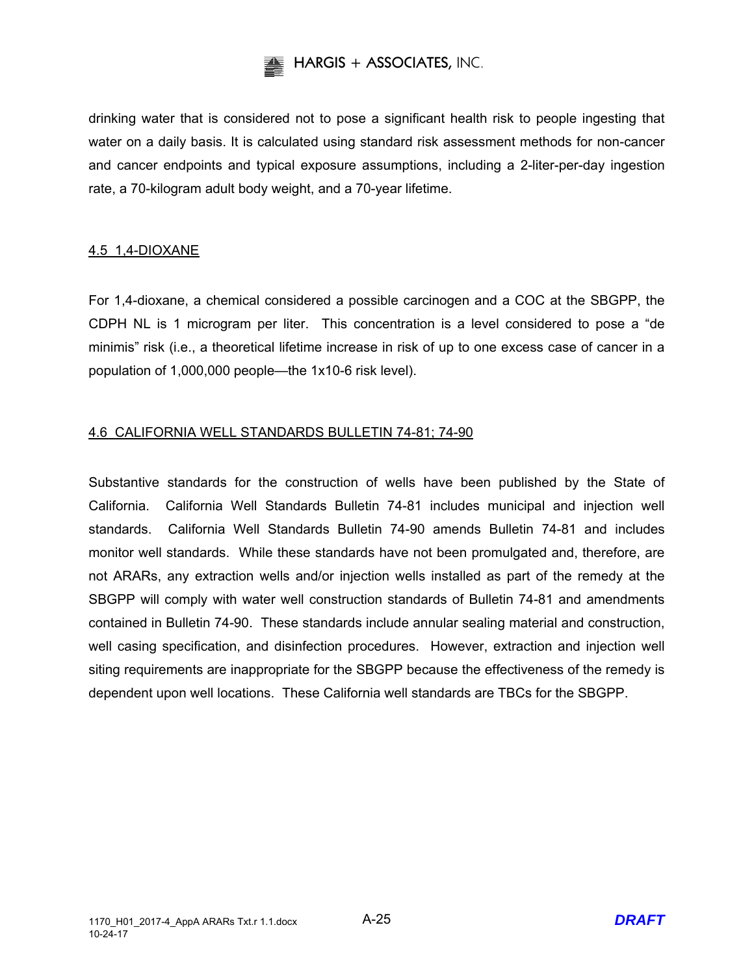

drinking water that is considered not to pose a significant health risk to people ingesting that water on a daily basis. It is calculated using standard risk assessment methods for non-cancer and cancer endpoints and typical exposure assumptions, including a 2-liter-per-day ingestion rate, a 70-kilogram adult body weight, and a 70-year lifetime.

## 4.5 1,4-DIOXANE

For 1,4-dioxane, a chemical considered a possible carcinogen and a COC at the SBGPP, the CDPH NL is 1 microgram per liter. This concentration is a level considered to pose a "de minimis" risk (i.e., a theoretical lifetime increase in risk of up to one excess case of cancer in a population of 1,000,000 people—the 1x10-6 risk level).

## 4.6 CALIFORNIA WELL STANDARDS BULLETIN 74-81; 74-90

Substantive standards for the construction of wells have been published by the State of California. California Well Standards Bulletin 74-81 includes municipal and injection well standards. California Well Standards Bulletin 74-90 amends Bulletin 74-81 and includes monitor well standards. While these standards have not been promulgated and, therefore, are not ARARs, any extraction wells and/or injection wells installed as part of the remedy at the SBGPP will comply with water well construction standards of Bulletin 74-81 and amendments contained in Bulletin 74-90. These standards include annular sealing material and construction, well casing specification, and disinfection procedures. However, extraction and injection well siting requirements are inappropriate for the SBGPP because the effectiveness of the remedy is dependent upon well locations. These California well standards are TBCs for the SBGPP.

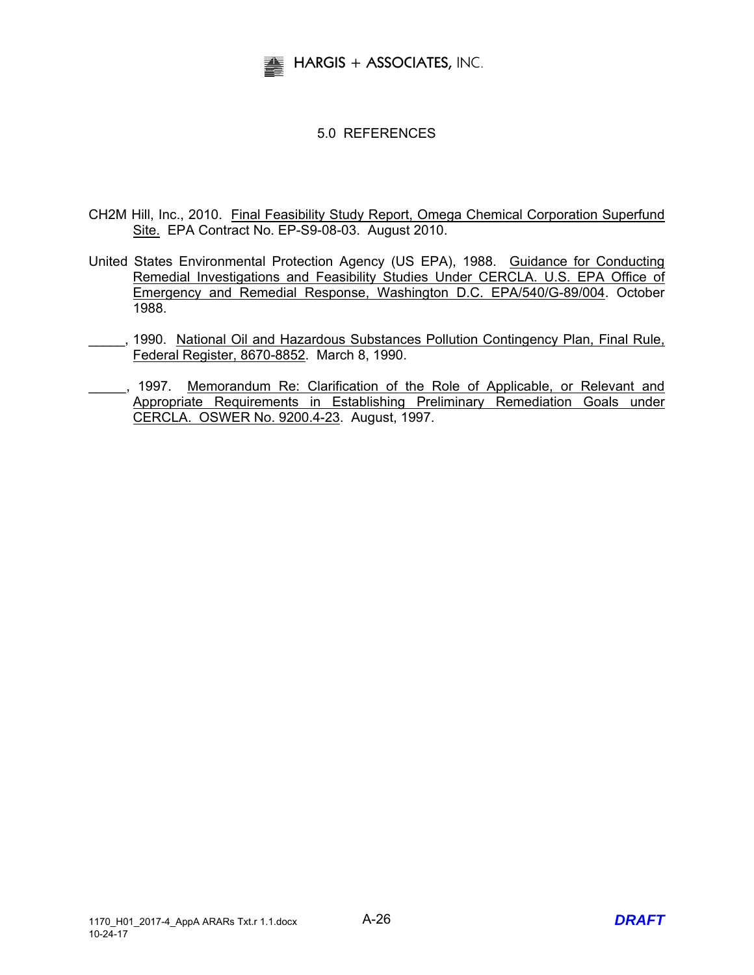

## 5.0 REFERENCES

- CH2M Hill, Inc., 2010. Final Feasibility Study Report, Omega Chemical Corporation Superfund Site. EPA Contract No. EP-S9-08-03. August 2010.
- United States Environmental Protection Agency (US EPA), 1988. Guidance for Conducting Remedial Investigations and Feasibility Studies Under CERCLA. U.S. EPA Office of Emergency and Remedial Response, Washington D.C. EPA/540/G-89/004. October 1988.
	- \_\_\_\_\_, 1990. National Oil and Hazardous Substances Pollution Contingency Plan, Final Rule, Federal Register, 8670-8852. March 8, 1990.
- ..., 1997. Memorandum Re: Clarification of the Role of Applicable, or Relevant and Appropriate Requirements in Establishing Preliminary Remediation Goals under CERCLA. OSWER No. 9200.4-23. August, 1997.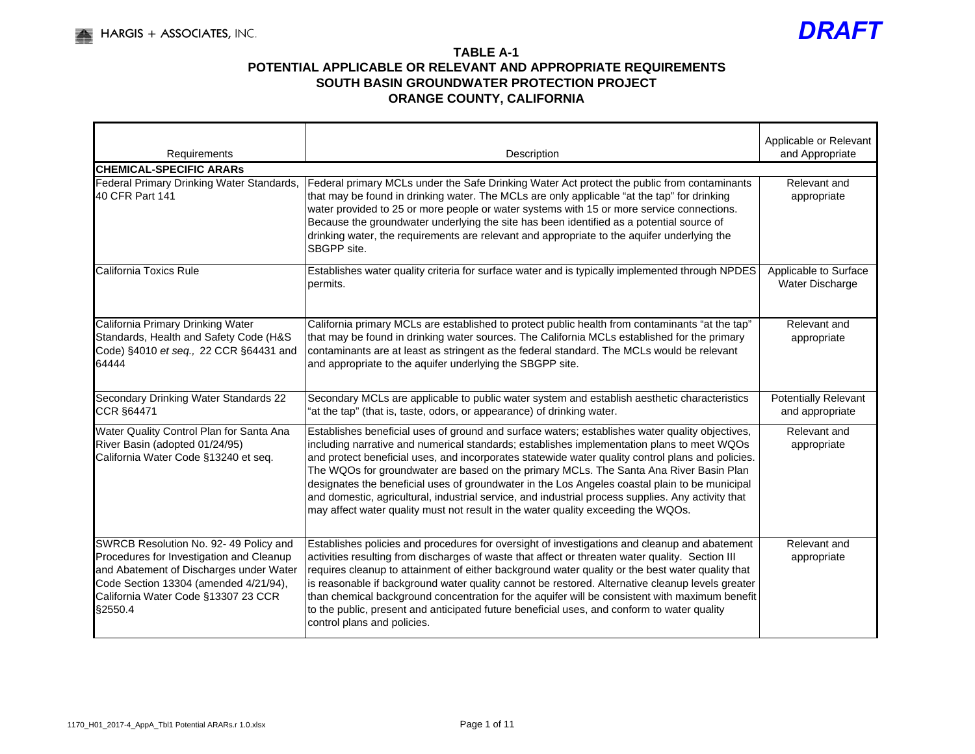

| Requirements                                                                                                                                                                                                             | Description                                                                                                                                                                                                                                                                                                                                                                                                                                                                                                                                                                                                                                                                               | Applicable or Relevant<br>and Appropriate      |
|--------------------------------------------------------------------------------------------------------------------------------------------------------------------------------------------------------------------------|-------------------------------------------------------------------------------------------------------------------------------------------------------------------------------------------------------------------------------------------------------------------------------------------------------------------------------------------------------------------------------------------------------------------------------------------------------------------------------------------------------------------------------------------------------------------------------------------------------------------------------------------------------------------------------------------|------------------------------------------------|
| <b>CHEMICAL-SPECIFIC ARARS</b>                                                                                                                                                                                           |                                                                                                                                                                                                                                                                                                                                                                                                                                                                                                                                                                                                                                                                                           |                                                |
| Federal Primary Drinking Water Standards,<br>40 CFR Part 141                                                                                                                                                             | Federal primary MCLs under the Safe Drinking Water Act protect the public from contaminants<br>that may be found in drinking water. The MCLs are only applicable "at the tap" for drinking<br>water provided to 25 or more people or water systems with 15 or more service connections.<br>Because the groundwater underlying the site has been identified as a potential source of<br>drinking water, the requirements are relevant and appropriate to the aquifer underlying the<br>SBGPP site.                                                                                                                                                                                         | Relevant and<br>appropriate                    |
| California Toxics Rule                                                                                                                                                                                                   | Establishes water quality criteria for surface water and is typically implemented through NPDES<br>permits.                                                                                                                                                                                                                                                                                                                                                                                                                                                                                                                                                                               | Applicable to Surface<br>Water Discharge       |
| California Primary Drinking Water<br>Standards, Health and Safety Code (H&S<br>Code) §4010 et seq., 22 CCR §64431 and<br>64444                                                                                           | California primary MCLs are established to protect public health from contaminants "at the tap"<br>that may be found in drinking water sources. The California MCLs established for the primary<br>contaminants are at least as stringent as the federal standard. The MCLs would be relevant<br>and appropriate to the aquifer underlying the SBGPP site.                                                                                                                                                                                                                                                                                                                                | Relevant and<br>appropriate                    |
| Secondary Drinking Water Standards 22<br><b>CCR §64471</b>                                                                                                                                                               | Secondary MCLs are applicable to public water system and establish aesthetic characteristics<br>"at the tap" (that is, taste, odors, or appearance) of drinking water.                                                                                                                                                                                                                                                                                                                                                                                                                                                                                                                    | <b>Potentially Relevant</b><br>and appropriate |
| Water Quality Control Plan for Santa Ana<br>River Basin (adopted 01/24/95)<br>California Water Code §13240 et seq.                                                                                                       | Establishes beneficial uses of ground and surface waters; establishes water quality objectives,<br>including narrative and numerical standards; establishes implementation plans to meet WQOs<br>and protect beneficial uses, and incorporates statewide water quality control plans and policies.<br>The WQOs for groundwater are based on the primary MCLs. The Santa Ana River Basin Plan<br>designates the beneficial uses of groundwater in the Los Angeles coastal plain to be municipal<br>and domestic, agricultural, industrial service, and industrial process supplies. Any activity that<br>may affect water quality must not result in the water quality exceeding the WQOs. | Relevant and<br>appropriate                    |
| SWRCB Resolution No. 92- 49 Policy and<br>Procedures for Investigation and Cleanup<br>and Abatement of Discharges under Water<br>Code Section 13304 (amended 4/21/94),<br>California Water Code §13307 23 CCR<br>§2550.4 | Establishes policies and procedures for oversight of investigations and cleanup and abatement<br>activities resulting from discharges of waste that affect or threaten water quality. Section III<br>requires cleanup to attainment of either background water quality or the best water quality that<br>is reasonable if background water quality cannot be restored. Alternative cleanup levels greater<br>than chemical background concentration for the aquifer will be consistent with maximum benefit<br>to the public, present and anticipated future beneficial uses, and conform to water quality<br>control plans and policies.                                                 | Relevant and<br>appropriate                    |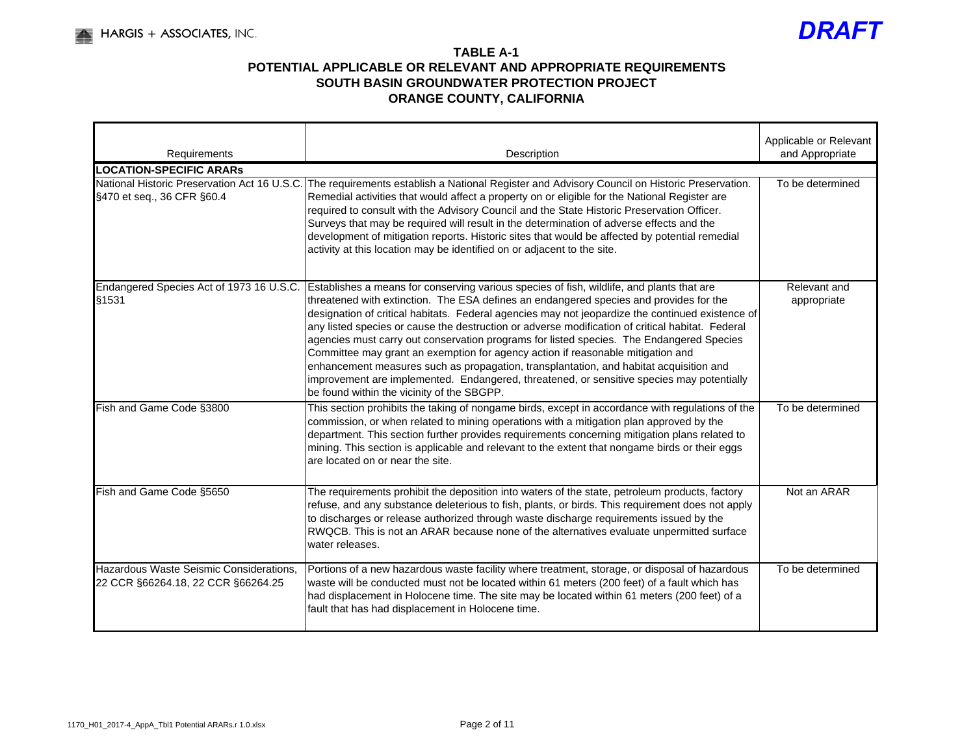

| Requirements                                                                  | Description                                                                                                                                                                                                                                                                                                                                                                                                                                                                                                                                                                                                                                                                                                                                                                                                     | Applicable or Relevant<br>and Appropriate |
|-------------------------------------------------------------------------------|-----------------------------------------------------------------------------------------------------------------------------------------------------------------------------------------------------------------------------------------------------------------------------------------------------------------------------------------------------------------------------------------------------------------------------------------------------------------------------------------------------------------------------------------------------------------------------------------------------------------------------------------------------------------------------------------------------------------------------------------------------------------------------------------------------------------|-------------------------------------------|
| <b>LOCATION-SPECIFIC ARARS</b>                                                |                                                                                                                                                                                                                                                                                                                                                                                                                                                                                                                                                                                                                                                                                                                                                                                                                 |                                           |
| National Historic Preservation Act 16 U.S.C.<br>§470 et seq., 36 CFR §60.4    | The requirements establish a National Register and Advisory Council on Historic Preservation.<br>Remedial activities that would affect a property on or eligible for the National Register are<br>required to consult with the Advisory Council and the State Historic Preservation Officer.<br>Surveys that may be required will result in the determination of adverse effects and the<br>development of mitigation reports. Historic sites that would be affected by potential remedial<br>activity at this location may be identified on or adjacent to the site.                                                                                                                                                                                                                                           | To be determined                          |
| Endangered Species Act of 1973 16 U.S.C.<br>§1531                             | Establishes a means for conserving various species of fish, wildlife, and plants that are<br>threatened with extinction. The ESA defines an endangered species and provides for the<br>designation of critical habitats. Federal agencies may not jeopardize the continued existence of<br>any listed species or cause the destruction or adverse modification of critical habitat. Federal<br>agencies must carry out conservation programs for listed species. The Endangered Species<br>Committee may grant an exemption for agency action if reasonable mitigation and<br>enhancement measures such as propagation, transplantation, and habitat acquisition and<br>improvement are implemented. Endangered, threatened, or sensitive species may potentially<br>be found within the vicinity of the SBGPP. | Relevant and<br>appropriate               |
| Fish and Game Code §3800                                                      | This section prohibits the taking of nongame birds, except in accordance with regulations of the<br>commission, or when related to mining operations with a mitigation plan approved by the<br>department. This section further provides requirements concerning mitigation plans related to<br>mining. This section is applicable and relevant to the extent that nongame birds or their eggs<br>are located on or near the site.                                                                                                                                                                                                                                                                                                                                                                              | To be determined                          |
| Fish and Game Code §5650                                                      | The requirements prohibit the deposition into waters of the state, petroleum products, factory<br>refuse, and any substance deleterious to fish, plants, or birds. This requirement does not apply<br>to discharges or release authorized through waste discharge requirements issued by the<br>RWQCB. This is not an ARAR because none of the alternatives evaluate unpermitted surface<br>water releases.                                                                                                                                                                                                                                                                                                                                                                                                     | Not an ARAR                               |
| Hazardous Waste Seismic Considerations,<br>22 CCR §66264.18, 22 CCR §66264.25 | Portions of a new hazardous waste facility where treatment, storage, or disposal of hazardous<br>waste will be conducted must not be located within 61 meters (200 feet) of a fault which has<br>had displacement in Holocene time. The site may be located within 61 meters (200 feet) of a<br>fault that has had displacement in Holocene time.                                                                                                                                                                                                                                                                                                                                                                                                                                                               | To be determined                          |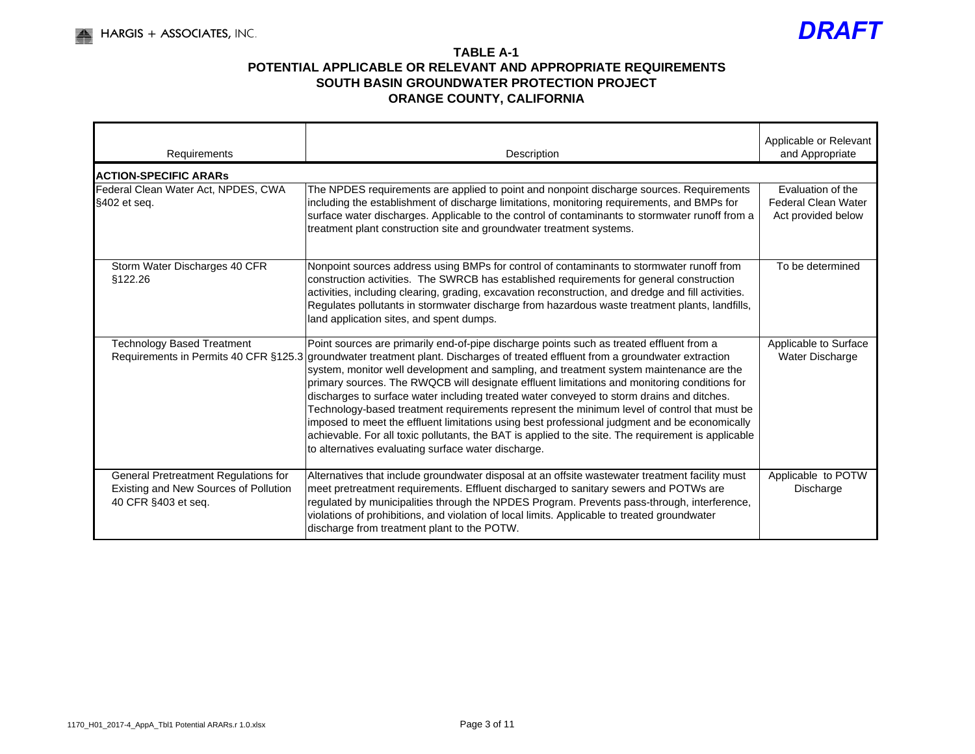

| Requirements                                                                                         | Description                                                                                                                                                                                                                                                                                                                                                                                                                                                                                                                                                                                                                                                                                                                                                                                                                                 | Applicable or Relevant<br>and Appropriate                             |
|------------------------------------------------------------------------------------------------------|---------------------------------------------------------------------------------------------------------------------------------------------------------------------------------------------------------------------------------------------------------------------------------------------------------------------------------------------------------------------------------------------------------------------------------------------------------------------------------------------------------------------------------------------------------------------------------------------------------------------------------------------------------------------------------------------------------------------------------------------------------------------------------------------------------------------------------------------|-----------------------------------------------------------------------|
| <b>ACTION-SPECIFIC ARARS</b>                                                                         |                                                                                                                                                                                                                                                                                                                                                                                                                                                                                                                                                                                                                                                                                                                                                                                                                                             |                                                                       |
| Federal Clean Water Act, NPDES, CWA<br>§402 et seq.                                                  | The NPDES requirements are applied to point and nonpoint discharge sources. Requirements<br>including the establishment of discharge limitations, monitoring requirements, and BMPs for<br>surface water discharges. Applicable to the control of contaminants to stormwater runoff from a<br>treatment plant construction site and groundwater treatment systems.                                                                                                                                                                                                                                                                                                                                                                                                                                                                          | Evaluation of the<br><b>Federal Clean Water</b><br>Act provided below |
| Storm Water Discharges 40 CFR<br>§122.26                                                             | Nonpoint sources address using BMPs for control of contaminants to stormwater runoff from<br>construction activities. The SWRCB has established requirements for general construction<br>activities, including clearing, grading, excavation reconstruction, and dredge and fill activities.<br>Regulates pollutants in stormwater discharge from hazardous waste treatment plants, landfills,<br>land application sites, and spent dumps.                                                                                                                                                                                                                                                                                                                                                                                                  | To be determined                                                      |
| <b>Technology Based Treatment</b><br>Requirements in Permits 40 CFR §125.3                           | Point sources are primarily end-of-pipe discharge points such as treated effluent from a<br>groundwater treatment plant. Discharges of treated effluent from a groundwater extraction<br>system, monitor well development and sampling, and treatment system maintenance are the<br>primary sources. The RWQCB will designate effluent limitations and monitoring conditions for<br>discharges to surface water including treated water conveyed to storm drains and ditches.<br>Technology-based treatment requirements represent the minimum level of control that must be<br>imposed to meet the effluent limitations using best professional judgment and be economically<br>achievable. For all toxic pollutants, the BAT is applied to the site. The requirement is applicable<br>to alternatives evaluating surface water discharge. | Applicable to Surface<br>Water Discharge                              |
| General Pretreatment Regulations for<br>Existing and New Sources of Pollution<br>40 CFR §403 et seq. | Alternatives that include groundwater disposal at an offsite wastewater treatment facility must<br>meet pretreatment requirements. Effluent discharged to sanitary sewers and POTWs are<br>regulated by municipalities through the NPDES Program. Prevents pass-through, interference,<br>violations of prohibitions, and violation of local limits. Applicable to treated groundwater<br>discharge from treatment plant to the POTW.                                                                                                                                                                                                                                                                                                                                                                                                       | Applicable to POTW<br>Discharge                                       |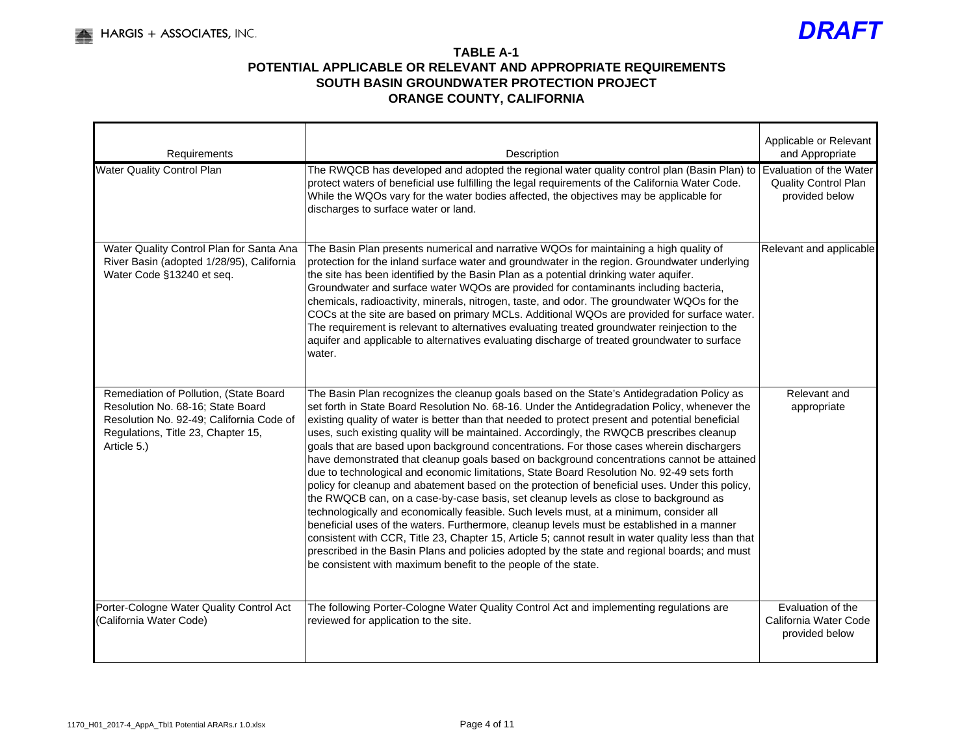

| Requirements                                                                                                                                                                 | Description                                                                                                                                                                                                                                                                                                                                                                                                                                                                                                                                                                                                                                                                                                                                                                                                                                                                                                                                                                                                                                                                                                                                                                                                                                                                                                                                        | Applicable or Relevant<br>and Appropriate                    |
|------------------------------------------------------------------------------------------------------------------------------------------------------------------------------|----------------------------------------------------------------------------------------------------------------------------------------------------------------------------------------------------------------------------------------------------------------------------------------------------------------------------------------------------------------------------------------------------------------------------------------------------------------------------------------------------------------------------------------------------------------------------------------------------------------------------------------------------------------------------------------------------------------------------------------------------------------------------------------------------------------------------------------------------------------------------------------------------------------------------------------------------------------------------------------------------------------------------------------------------------------------------------------------------------------------------------------------------------------------------------------------------------------------------------------------------------------------------------------------------------------------------------------------------|--------------------------------------------------------------|
| <b>Water Quality Control Plan</b>                                                                                                                                            | The RWQCB has developed and adopted the regional water quality control plan (Basin Plan) to Evaluation of the Water<br>protect waters of beneficial use fulfilling the legal requirements of the California Water Code.<br>While the WQOs vary for the water bodies affected, the objectives may be applicable for<br>discharges to surface water or land.                                                                                                                                                                                                                                                                                                                                                                                                                                                                                                                                                                                                                                                                                                                                                                                                                                                                                                                                                                                         | Quality Control Plan<br>provided below                       |
| Water Quality Control Plan for Santa Ana<br>River Basin (adopted 1/28/95), California<br>Water Code §13240 et seq.                                                           | The Basin Plan presents numerical and narrative WQOs for maintaining a high quality of<br>protection for the inland surface water and groundwater in the region. Groundwater underlying<br>the site has been identified by the Basin Plan as a potential drinking water aquifer.<br>Groundwater and surface water WQOs are provided for contaminants including bacteria,<br>chemicals, radioactivity, minerals, nitrogen, taste, and odor. The groundwater WQOs for the<br>COCs at the site are based on primary MCLs. Additional WQOs are provided for surface water.<br>The requirement is relevant to alternatives evaluating treated groundwater reinjection to the<br>aquifer and applicable to alternatives evaluating discharge of treated groundwater to surface<br>water.                                                                                                                                                                                                                                                                                                                                                                                                                                                                                                                                                                 | Relevant and applicable                                      |
| Remediation of Pollution, (State Board<br>Resolution No. 68-16; State Board<br>Resolution No. 92-49; California Code of<br>Regulations, Title 23, Chapter 15,<br>Article 5.) | The Basin Plan recognizes the cleanup goals based on the State's Antidegradation Policy as<br>set forth in State Board Resolution No. 68-16. Under the Antidegradation Policy, whenever the<br>existing quality of water is better than that needed to protect present and potential beneficial<br>uses, such existing quality will be maintained. Accordingly, the RWQCB prescribes cleanup<br>goals that are based upon background concentrations. For those cases wherein dischargers<br>have demonstrated that cleanup goals based on background concentrations cannot be attained<br>due to technological and economic limitations, State Board Resolution No. 92-49 sets forth<br>policy for cleanup and abatement based on the protection of beneficial uses. Under this policy,<br>the RWQCB can, on a case-by-case basis, set cleanup levels as close to background as<br>technologically and economically feasible. Such levels must, at a minimum, consider all<br>beneficial uses of the waters. Furthermore, cleanup levels must be established in a manner<br>consistent with CCR, Title 23, Chapter 15, Article 5; cannot result in water quality less than that<br>prescribed in the Basin Plans and policies adopted by the state and regional boards; and must<br>be consistent with maximum benefit to the people of the state. | Relevant and<br>appropriate                                  |
| Porter-Cologne Water Quality Control Act<br>(California Water Code)                                                                                                          | The following Porter-Cologne Water Quality Control Act and implementing regulations are<br>reviewed for application to the site.                                                                                                                                                                                                                                                                                                                                                                                                                                                                                                                                                                                                                                                                                                                                                                                                                                                                                                                                                                                                                                                                                                                                                                                                                   | Evaluation of the<br>California Water Code<br>provided below |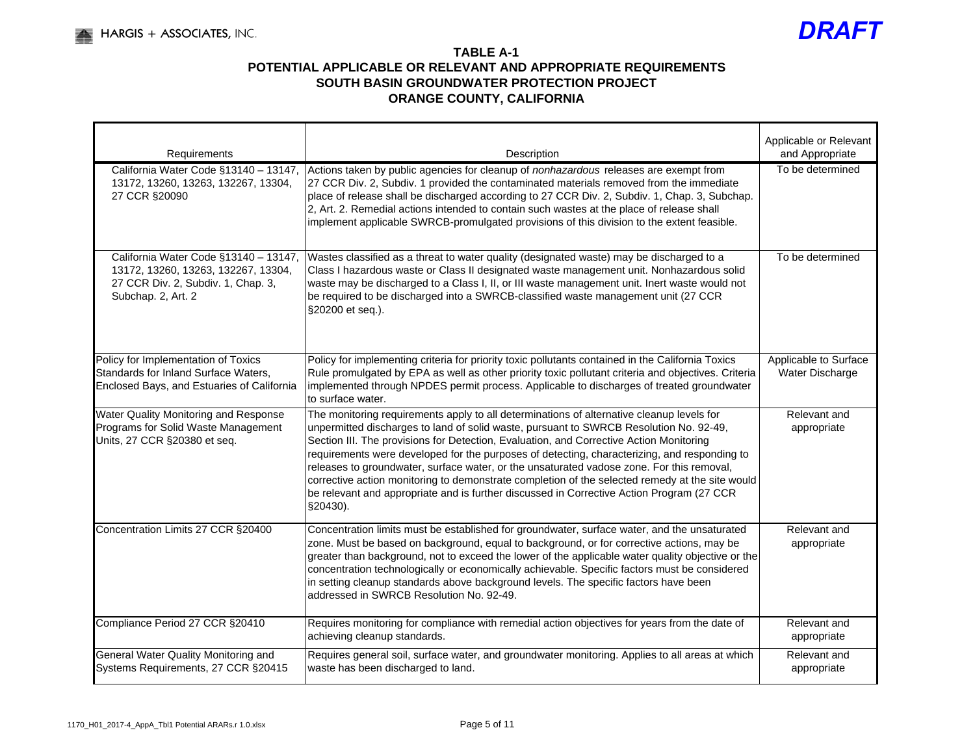

| Requirements                                                                                                                             | Description                                                                                                                                                                                                                                                                                                                                                                                                                                                                                                                                                                                                                                                                             | Applicable or Relevant<br>and Appropriate |
|------------------------------------------------------------------------------------------------------------------------------------------|-----------------------------------------------------------------------------------------------------------------------------------------------------------------------------------------------------------------------------------------------------------------------------------------------------------------------------------------------------------------------------------------------------------------------------------------------------------------------------------------------------------------------------------------------------------------------------------------------------------------------------------------------------------------------------------------|-------------------------------------------|
| 13172, 13260, 13263, 132267, 13304,<br>27 CCR §20090                                                                                     | California Water Code §13140 - 13147, Actions taken by public agencies for cleanup of nonhazardous releases are exempt from<br>27 CCR Div. 2, Subdiv. 1 provided the contaminated materials removed from the immediate<br>place of release shall be discharged according to 27 CCR Div. 2, Subdiv. 1, Chap. 3, Subchap.<br>2, Art. 2. Remedial actions intended to contain such wastes at the place of release shall<br>implement applicable SWRCB-promulgated provisions of this division to the extent feasible.                                                                                                                                                                      | To be determined                          |
| California Water Code §13140 - 13147,<br>13172, 13260, 13263, 132267, 13304,<br>27 CCR Div. 2, Subdiv. 1, Chap. 3,<br>Subchap. 2, Art. 2 | Wastes classified as a threat to water quality (designated waste) may be discharged to a<br>Class I hazardous waste or Class II designated waste management unit. Nonhazardous solid<br>waste may be discharged to a Class I, II, or III waste management unit. Inert waste would not<br>be required to be discharged into a SWRCB-classified waste management unit (27 CCR<br>§20200 et seq.).                                                                                                                                                                                                                                                                                         | To be determined                          |
| Policy for Implementation of Toxics<br>Standards for Inland Surface Waters,<br>Enclosed Bays, and Estuaries of California                | Policy for implementing criteria for priority toxic pollutants contained in the California Toxics<br>Rule promulgated by EPA as well as other priority toxic pollutant criteria and objectives. Criteria<br>implemented through NPDES permit process. Applicable to discharges of treated groundwater<br>to surface water.                                                                                                                                                                                                                                                                                                                                                              | Applicable to Surface<br>Water Discharge  |
| Water Quality Monitoring and Response<br>Programs for Solid Waste Management<br>Units, 27 CCR §20380 et seq.                             | The monitoring requirements apply to all determinations of alternative cleanup levels for<br>unpermitted discharges to land of solid waste, pursuant to SWRCB Resolution No. 92-49,<br>Section III. The provisions for Detection, Evaluation, and Corrective Action Monitoring<br>requirements were developed for the purposes of detecting, characterizing, and responding to<br>releases to groundwater, surface water, or the unsaturated vadose zone. For this removal,<br>corrective action monitoring to demonstrate completion of the selected remedy at the site would<br>be relevant and appropriate and is further discussed in Corrective Action Program (27 CCR<br>§20430). | Relevant and<br>appropriate               |
| Concentration Limits 27 CCR §20400                                                                                                       | Concentration limits must be established for groundwater, surface water, and the unsaturated<br>zone. Must be based on background, equal to background, or for corrective actions, may be<br>greater than background, not to exceed the lower of the applicable water quality objective or the<br>concentration technologically or economically achievable. Specific factors must be considered<br>in setting cleanup standards above background levels. The specific factors have been<br>addressed in SWRCB Resolution No. 92-49.                                                                                                                                                     | Relevant and<br>appropriate               |
| Compliance Period 27 CCR §20410                                                                                                          | Requires monitoring for compliance with remedial action objectives for years from the date of<br>achieving cleanup standards.                                                                                                                                                                                                                                                                                                                                                                                                                                                                                                                                                           | Relevant and<br>appropriate               |
| General Water Quality Monitoring and<br>Systems Requirements, 27 CCR §20415                                                              | Requires general soil, surface water, and groundwater monitoring. Applies to all areas at which<br>waste has been discharged to land.                                                                                                                                                                                                                                                                                                                                                                                                                                                                                                                                                   | Relevant and<br>appropriate               |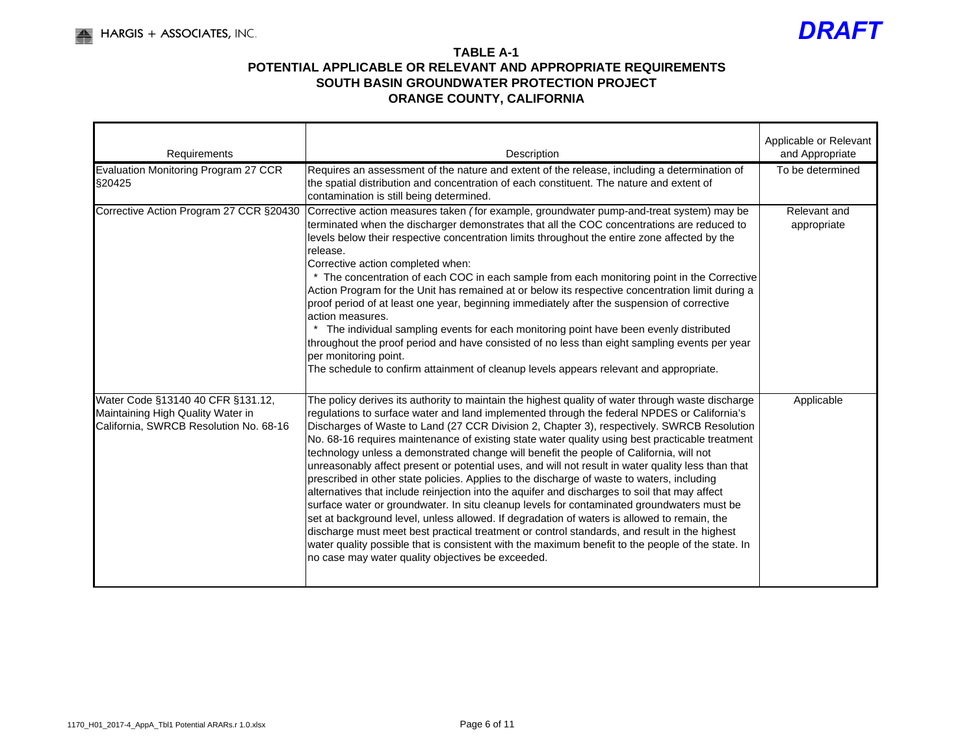

| Requirements                                                                                                     | Description                                                                                                                                                                                                                                                                                                                                                                                                                                                                                                                                                                                                                                                                                                                                                                                                                                                                                                                                                                                                                                                                                                                                                                                                                                              | Applicable or Relevant<br>and Appropriate |
|------------------------------------------------------------------------------------------------------------------|----------------------------------------------------------------------------------------------------------------------------------------------------------------------------------------------------------------------------------------------------------------------------------------------------------------------------------------------------------------------------------------------------------------------------------------------------------------------------------------------------------------------------------------------------------------------------------------------------------------------------------------------------------------------------------------------------------------------------------------------------------------------------------------------------------------------------------------------------------------------------------------------------------------------------------------------------------------------------------------------------------------------------------------------------------------------------------------------------------------------------------------------------------------------------------------------------------------------------------------------------------|-------------------------------------------|
| Evaluation Monitoring Program 27 CCR<br>§20425                                                                   | Requires an assessment of the nature and extent of the release, including a determination of<br>the spatial distribution and concentration of each constituent. The nature and extent of<br>contamination is still being determined.                                                                                                                                                                                                                                                                                                                                                                                                                                                                                                                                                                                                                                                                                                                                                                                                                                                                                                                                                                                                                     | To be determined                          |
| Corrective Action Program 27 CCR §20430                                                                          | Corrective action measures taken (for example, groundwater pump-and-treat system) may be<br>terminated when the discharger demonstrates that all the COC concentrations are reduced to<br>levels below their respective concentration limits throughout the entire zone affected by the<br>release.<br>Corrective action completed when:<br>* The concentration of each COC in each sample from each monitoring point in the Corrective<br>Action Program for the Unit has remained at or below its respective concentration limit during a<br>proof period of at least one year, beginning immediately after the suspension of corrective<br>action measures.<br>The individual sampling events for each monitoring point have been evenly distributed<br>throughout the proof period and have consisted of no less than eight sampling events per year<br>per monitoring point.<br>The schedule to confirm attainment of cleanup levels appears relevant and appropriate.                                                                                                                                                                                                                                                                              | Relevant and<br>appropriate               |
| Water Code §13140 40 CFR §131.12,<br>Maintaining High Quality Water in<br>California, SWRCB Resolution No. 68-16 | The policy derives its authority to maintain the highest quality of water through waste discharge<br>regulations to surface water and land implemented through the federal NPDES or California's<br>Discharges of Waste to Land (27 CCR Division 2, Chapter 3), respectively. SWRCB Resolution<br>No. 68-16 requires maintenance of existing state water quality using best practicable treatment<br>technology unless a demonstrated change will benefit the people of California, will not<br>unreasonably affect present or potential uses, and will not result in water quality less than that<br>prescribed in other state policies. Applies to the discharge of waste to waters, including<br>alternatives that include reinjection into the aquifer and discharges to soil that may affect<br>surface water or groundwater. In situ cleanup levels for contaminated groundwaters must be<br>set at background level, unless allowed. If degradation of waters is allowed to remain, the<br>discharge must meet best practical treatment or control standards, and result in the highest<br>water quality possible that is consistent with the maximum benefit to the people of the state. In<br>no case may water quality objectives be exceeded. | Applicable                                |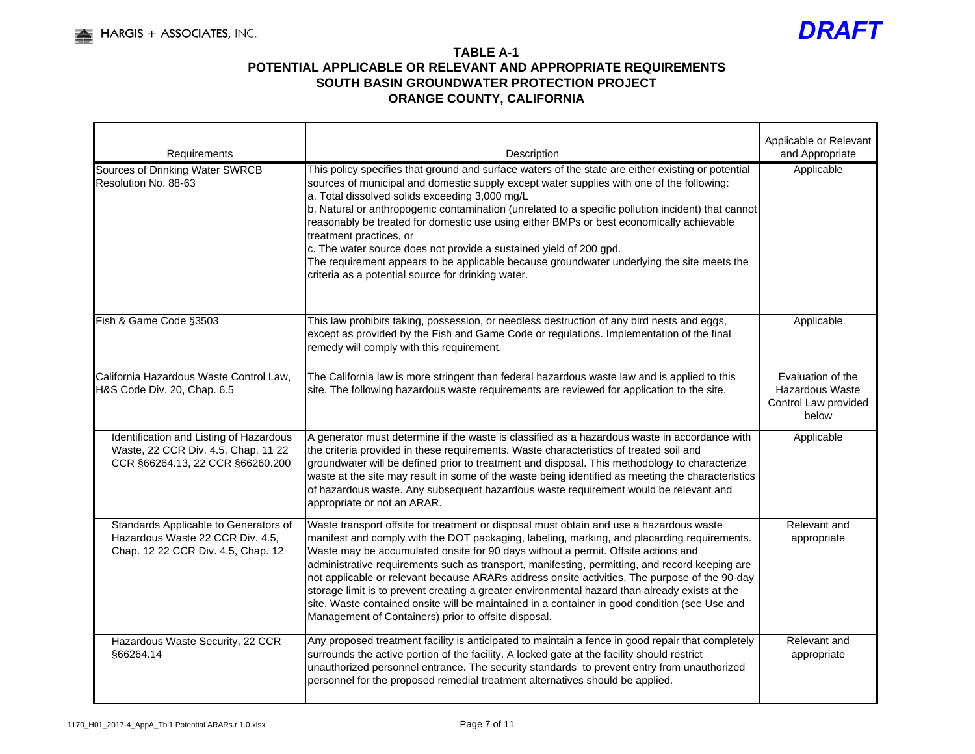

| Requirements                                                                                                       | Description                                                                                                                                                                                                                                                                                                                                                                                                                                                                                                                                                                                                                                                                                                                               | Applicable or Relevant<br>and Appropriate                             |
|--------------------------------------------------------------------------------------------------------------------|-------------------------------------------------------------------------------------------------------------------------------------------------------------------------------------------------------------------------------------------------------------------------------------------------------------------------------------------------------------------------------------------------------------------------------------------------------------------------------------------------------------------------------------------------------------------------------------------------------------------------------------------------------------------------------------------------------------------------------------------|-----------------------------------------------------------------------|
| Sources of Drinking Water SWRCB<br>Resolution No. 88-63                                                            | This policy specifies that ground and surface waters of the state are either existing or potential<br>sources of municipal and domestic supply except water supplies with one of the following:<br>a. Total dissolved solids exceeding 3,000 mg/L<br>b. Natural or anthropogenic contamination (unrelated to a specific pollution incident) that cannot<br>reasonably be treated for domestic use using either BMPs or best economically achievable<br>treatment practices, or<br>c. The water source does not provide a sustained yield of 200 gpd.<br>The requirement appears to be applicable because groundwater underlying the site meets the<br>criteria as a potential source for drinking water.                                  | Applicable                                                            |
| Fish & Game Code §3503                                                                                             | This law prohibits taking, possession, or needless destruction of any bird nests and eggs,<br>except as provided by the Fish and Game Code or regulations. Implementation of the final<br>remedy will comply with this requirement.                                                                                                                                                                                                                                                                                                                                                                                                                                                                                                       | Applicable                                                            |
| California Hazardous Waste Control Law,<br>H&S Code Div. 20, Chap. 6.5                                             | The California law is more stringent than federal hazardous waste law and is applied to this<br>site. The following hazardous waste requirements are reviewed for application to the site.                                                                                                                                                                                                                                                                                                                                                                                                                                                                                                                                                | Evaluation of the<br>Hazardous Waste<br>Control Law provided<br>below |
| Identification and Listing of Hazardous<br>Waste, 22 CCR Div. 4.5, Chap. 11 22<br>CCR §66264.13, 22 CCR §66260.200 | A generator must determine if the waste is classified as a hazardous waste in accordance with<br>the criteria provided in these requirements. Waste characteristics of treated soil and<br>groundwater will be defined prior to treatment and disposal. This methodology to characterize<br>waste at the site may result in some of the waste being identified as meeting the characteristics<br>of hazardous waste. Any subsequent hazardous waste requirement would be relevant and<br>appropriate or not an ARAR.                                                                                                                                                                                                                      | Applicable                                                            |
| Standards Applicable to Generators of<br>Hazardous Waste 22 CCR Div. 4.5,<br>Chap. 12 22 CCR Div. 4.5, Chap. 12    | Waste transport offsite for treatment or disposal must obtain and use a hazardous waste<br>manifest and comply with the DOT packaging, labeling, marking, and placarding requirements.<br>Waste may be accumulated onsite for 90 days without a permit. Offsite actions and<br>administrative requirements such as transport, manifesting, permitting, and record keeping are<br>not applicable or relevant because ARARs address onsite activities. The purpose of the 90-day<br>storage limit is to prevent creating a greater environmental hazard than already exists at the<br>site. Waste contained onsite will be maintained in a container in good condition (see Use and<br>Management of Containers) prior to offsite disposal. | Relevant and<br>appropriate                                           |
| Hazardous Waste Security, 22 CCR<br>§66264.14                                                                      | Any proposed treatment facility is anticipated to maintain a fence in good repair that completely<br>surrounds the active portion of the facility. A locked gate at the facility should restrict<br>unauthorized personnel entrance. The security standards to prevent entry from unauthorized<br>personnel for the proposed remedial treatment alternatives should be applied.                                                                                                                                                                                                                                                                                                                                                           | Relevant and<br>appropriate                                           |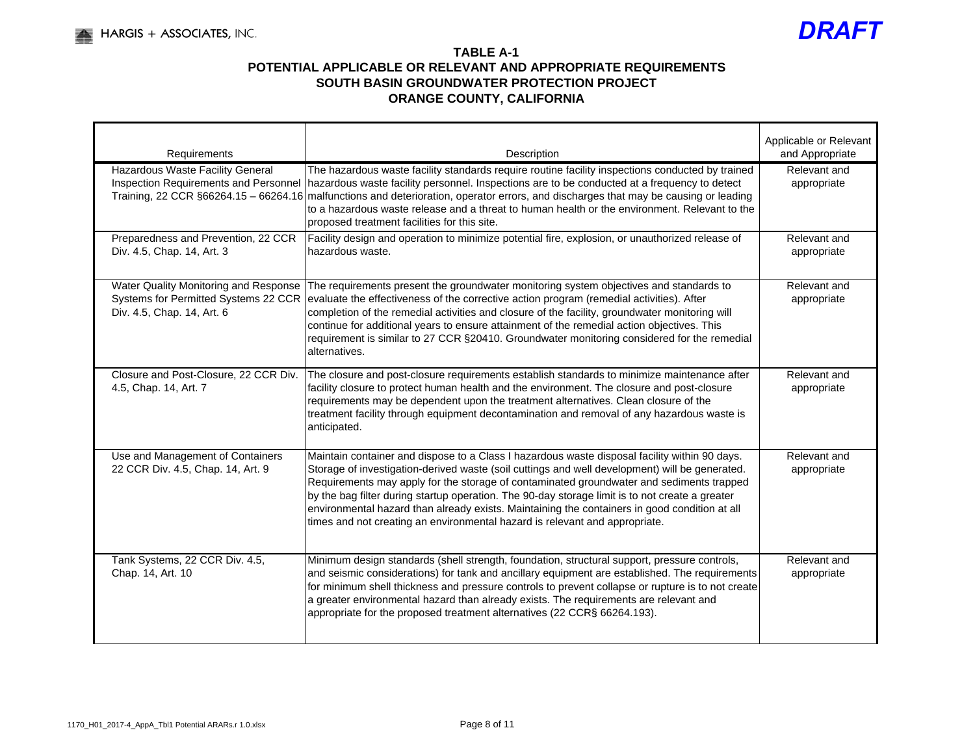

| Requirements                                                                                                | Description                                                                                                                                                                                                                                                                                                                                                                                                                                                                                                                                                                    | Applicable or Relevant<br>and Appropriate |
|-------------------------------------------------------------------------------------------------------------|--------------------------------------------------------------------------------------------------------------------------------------------------------------------------------------------------------------------------------------------------------------------------------------------------------------------------------------------------------------------------------------------------------------------------------------------------------------------------------------------------------------------------------------------------------------------------------|-------------------------------------------|
| Hazardous Waste Facility General<br>Inspection Requirements and Personnel                                   | The hazardous waste facility standards require routine facility inspections conducted by trained<br>hazardous waste facility personnel. Inspections are to be conducted at a frequency to detect<br>Training, 22 CCR §66264.15 – 66264.16 malfunctions and deterioration, operator errors, and discharges that may be causing or leading<br>to a hazardous waste release and a threat to human health or the environment. Relevant to the<br>proposed treatment facilities for this site.                                                                                      | Relevant and<br>appropriate               |
| Preparedness and Prevention, 22 CCR<br>Div. 4.5, Chap. 14, Art. 3                                           | Facility design and operation to minimize potential fire, explosion, or unauthorized release of<br>hazardous waste.                                                                                                                                                                                                                                                                                                                                                                                                                                                            | Relevant and<br>appropriate               |
| Water Quality Monitoring and Response<br>Systems for Permitted Systems 22 CCR<br>Div. 4.5, Chap. 14, Art. 6 | The requirements present the groundwater monitoring system objectives and standards to<br>evaluate the effectiveness of the corrective action program (remedial activities). After<br>completion of the remedial activities and closure of the facility, groundwater monitoring will<br>continue for additional years to ensure attainment of the remedial action objectives. This<br>requirement is similar to 27 CCR §20410. Groundwater monitoring considered for the remedial<br>alternatives.                                                                             | Relevant and<br>appropriate               |
| Closure and Post-Closure, 22 CCR Div.<br>4.5, Chap. 14, Art. 7                                              | The closure and post-closure requirements establish standards to minimize maintenance after<br>facility closure to protect human health and the environment. The closure and post-closure<br>requirements may be dependent upon the treatment alternatives. Clean closure of the<br>treatment facility through equipment decontamination and removal of any hazardous waste is<br>anticipated.                                                                                                                                                                                 | Relevant and<br>appropriate               |
| Use and Management of Containers<br>22 CCR Div. 4.5, Chap. 14, Art. 9                                       | Maintain container and dispose to a Class I hazardous waste disposal facility within 90 days.<br>Storage of investigation-derived waste (soil cuttings and well development) will be generated.<br>Requirements may apply for the storage of contaminated groundwater and sediments trapped<br>by the bag filter during startup operation. The 90-day storage limit is to not create a greater<br>environmental hazard than already exists. Maintaining the containers in good condition at all<br>times and not creating an environmental hazard is relevant and appropriate. | Relevant and<br>appropriate               |
| Tank Systems, 22 CCR Div. 4.5,<br>Chap. 14, Art. 10                                                         | Minimum design standards (shell strength, foundation, structural support, pressure controls,<br>and seismic considerations) for tank and ancillary equipment are established. The requirements<br>for minimum shell thickness and pressure controls to prevent collapse or rupture is to not create<br>a greater environmental hazard than already exists. The requirements are relevant and<br>appropriate for the proposed treatment alternatives (22 CCR§ 66264.193).                                                                                                       | Relevant and<br>appropriate               |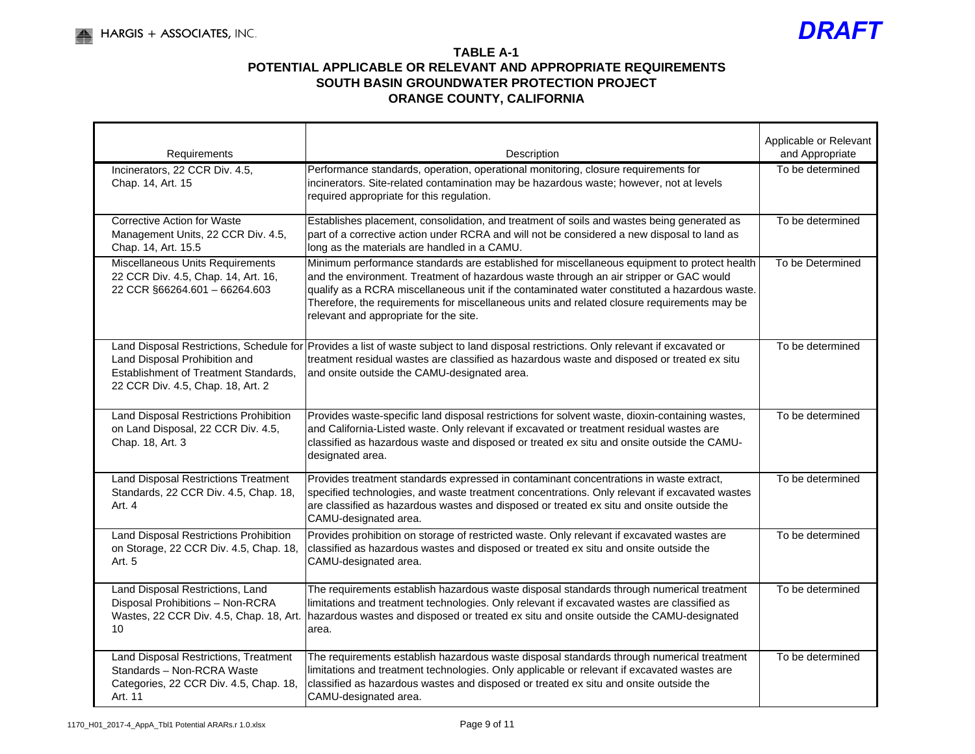

| Requirements                                                                                                             | Description                                                                                                                                                                                                                                                                                                                                                                                                                     | Applicable or Relevant<br>and Appropriate |
|--------------------------------------------------------------------------------------------------------------------------|---------------------------------------------------------------------------------------------------------------------------------------------------------------------------------------------------------------------------------------------------------------------------------------------------------------------------------------------------------------------------------------------------------------------------------|-------------------------------------------|
| Incinerators, 22 CCR Div. 4.5,<br>Chap. 14, Art. 15                                                                      | Performance standards, operation, operational monitoring, closure requirements for<br>incinerators. Site-related contamination may be hazardous waste; however, not at levels<br>required appropriate for this regulation.                                                                                                                                                                                                      | To be determined                          |
| <b>Corrective Action for Waste</b><br>Management Units, 22 CCR Div. 4.5,<br>Chap. 14, Art. 15.5                          | Establishes placement, consolidation, and treatment of soils and wastes being generated as<br>part of a corrective action under RCRA and will not be considered a new disposal to land as<br>long as the materials are handled in a CAMU.                                                                                                                                                                                       | To be determined                          |
| Miscellaneous Units Requirements<br>22 CCR Div. 4.5, Chap. 14, Art. 16,<br>22 CCR §66264.601 - 66264.603                 | Minimum performance standards are established for miscellaneous equipment to protect health<br>and the environment. Treatment of hazardous waste through an air stripper or GAC would<br>qualify as a RCRA miscellaneous unit if the contaminated water constituted a hazardous waste.<br>Therefore, the requirements for miscellaneous units and related closure requirements may be<br>relevant and appropriate for the site. | To be Determined                          |
| Land Disposal Prohibition and<br>Establishment of Treatment Standards,<br>22 CCR Div. 4.5, Chap. 18, Art. 2              | Land Disposal Restrictions, Schedule for Provides a list of waste subject to land disposal restrictions. Only relevant if excavated or<br>treatment residual wastes are classified as hazardous waste and disposed or treated ex situ<br>and onsite outside the CAMU-designated area.                                                                                                                                           | To be determined                          |
| Land Disposal Restrictions Prohibition<br>on Land Disposal, 22 CCR Div. 4.5,<br>Chap. 18, Art. 3                         | Provides waste-specific land disposal restrictions for solvent waste, dioxin-containing wastes,<br>and California-Listed waste. Only relevant if excavated or treatment residual wastes are<br>classified as hazardous waste and disposed or treated ex situ and onsite outside the CAMU-<br>designated area.                                                                                                                   | To be determined                          |
| <b>Land Disposal Restrictions Treatment</b><br>Standards, 22 CCR Div. 4.5, Chap. 18,<br>Art. 4                           | Provides treatment standards expressed in contaminant concentrations in waste extract,<br>specified technologies, and waste treatment concentrations. Only relevant if excavated wastes<br>are classified as hazardous wastes and disposed or treated ex situ and onsite outside the<br>CAMU-designated area.                                                                                                                   | To be determined                          |
| Land Disposal Restrictions Prohibition<br>on Storage, 22 CCR Div. 4.5, Chap. 18,<br>Art. 5                               | Provides prohibition on storage of restricted waste. Only relevant if excavated wastes are<br>classified as hazardous wastes and disposed or treated ex situ and onsite outside the<br>CAMU-designated area.                                                                                                                                                                                                                    | To be determined                          |
| Land Disposal Restrictions, Land<br>Disposal Prohibitions - Non-RCRA<br>Wastes, 22 CCR Div. 4.5, Chap. 18, Art.<br>10    | The requirements establish hazardous waste disposal standards through numerical treatment<br>limitations and treatment technologies. Only relevant if excavated wastes are classified as<br>hazardous wastes and disposed or treated ex situ and onsite outside the CAMU-designated<br>area.                                                                                                                                    | To be determined                          |
| Land Disposal Restrictions, Treatment<br>Standards - Non-RCRA Waste<br>Categories, 22 CCR Div. 4.5, Chap. 18,<br>Art. 11 | The requirements establish hazardous waste disposal standards through numerical treatment<br>limitations and treatment technologies. Only applicable or relevant if excavated wastes are<br>classified as hazardous wastes and disposed or treated ex situ and onsite outside the<br>CAMU-designated area.                                                                                                                      | To be determined                          |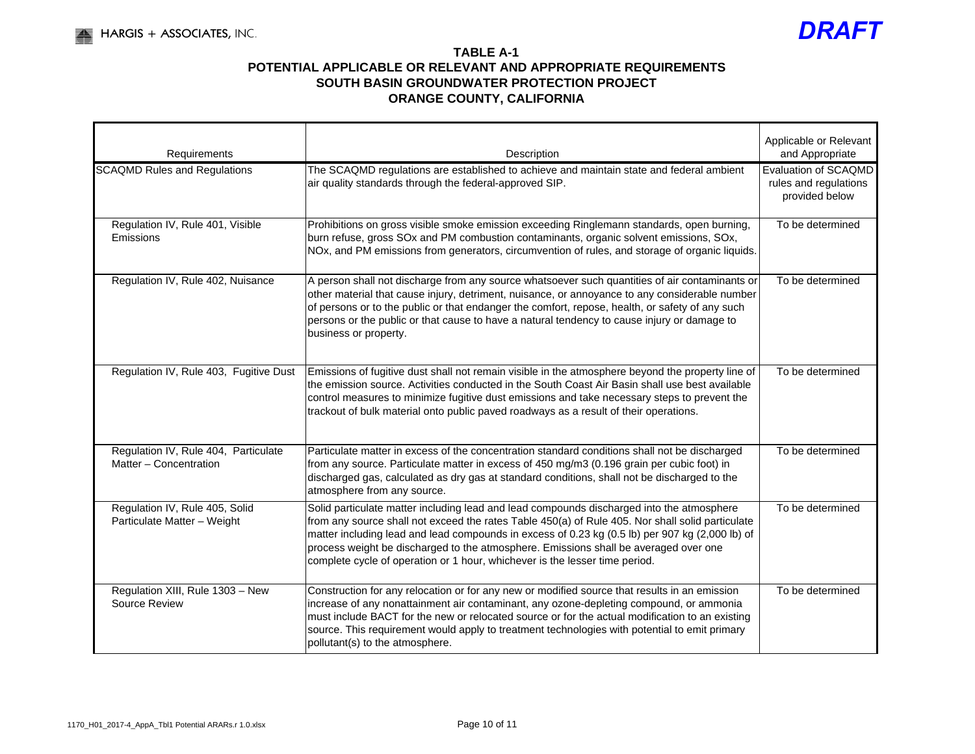

| Requirements                                                   | Applicable or Relevant<br>Description                                                                                                                                                                                                                                                                                                                                                                                                                                   |                                                                 |  |  |  |
|----------------------------------------------------------------|-------------------------------------------------------------------------------------------------------------------------------------------------------------------------------------------------------------------------------------------------------------------------------------------------------------------------------------------------------------------------------------------------------------------------------------------------------------------------|-----------------------------------------------------------------|--|--|--|
| <b>SCAQMD Rules and Regulations</b>                            | The SCAQMD regulations are established to achieve and maintain state and federal ambient<br>air quality standards through the federal-approved SIP.                                                                                                                                                                                                                                                                                                                     | Evaluation of SCAQMD<br>rules and regulations<br>provided below |  |  |  |
| Regulation IV, Rule 401, Visible<br>Emissions                  | Prohibitions on gross visible smoke emission exceeding Ringlemann standards, open burning,<br>burn refuse, gross SOx and PM combustion contaminants, organic solvent emissions, SOx,<br>NOx, and PM emissions from generators, circumvention of rules, and storage of organic liquids.                                                                                                                                                                                  | To be determined                                                |  |  |  |
| Regulation IV, Rule 402, Nuisance                              | A person shall not discharge from any source whatsoever such quantities of air contaminants or<br>other material that cause injury, detriment, nuisance, or annoyance to any considerable number<br>of persons or to the public or that endanger the comfort, repose, health, or safety of any such<br>persons or the public or that cause to have a natural tendency to cause injury or damage to<br>business or property.                                             | To be determined                                                |  |  |  |
| Regulation IV, Rule 403, Fugitive Dust                         | Emissions of fugitive dust shall not remain visible in the atmosphere beyond the property line of<br>the emission source. Activities conducted in the South Coast Air Basin shall use best available<br>control measures to minimize fugitive dust emissions and take necessary steps to prevent the<br>trackout of bulk material onto public paved roadways as a result of their operations.                                                                           | To be determined                                                |  |  |  |
| Regulation IV, Rule 404, Particulate<br>Matter - Concentration | Particulate matter in excess of the concentration standard conditions shall not be discharged<br>from any source. Particulate matter in excess of 450 mg/m3 (0.196 grain per cubic foot) in<br>discharged gas, calculated as dry gas at standard conditions, shall not be discharged to the<br>atmosphere from any source.                                                                                                                                              | To be determined                                                |  |  |  |
| Regulation IV, Rule 405, Solid<br>Particulate Matter - Weight  | Solid particulate matter including lead and lead compounds discharged into the atmosphere<br>from any source shall not exceed the rates Table 450(a) of Rule 405. Nor shall solid particulate<br>matter including lead and lead compounds in excess of 0.23 kg (0.5 lb) per 907 kg (2,000 lb) of<br>process weight be discharged to the atmosphere. Emissions shall be averaged over one<br>complete cycle of operation or 1 hour, whichever is the lesser time period. | To be determined                                                |  |  |  |
| Regulation XIII, Rule 1303 - New<br>Source Review              | Construction for any relocation or for any new or modified source that results in an emission<br>increase of any nonattainment air contaminant, any ozone-depleting compound, or ammonia<br>must include BACT for the new or relocated source or for the actual modification to an existing<br>source. This requirement would apply to treatment technologies with potential to emit primary<br>pollutant(s) to the atmosphere.                                         | To be determined                                                |  |  |  |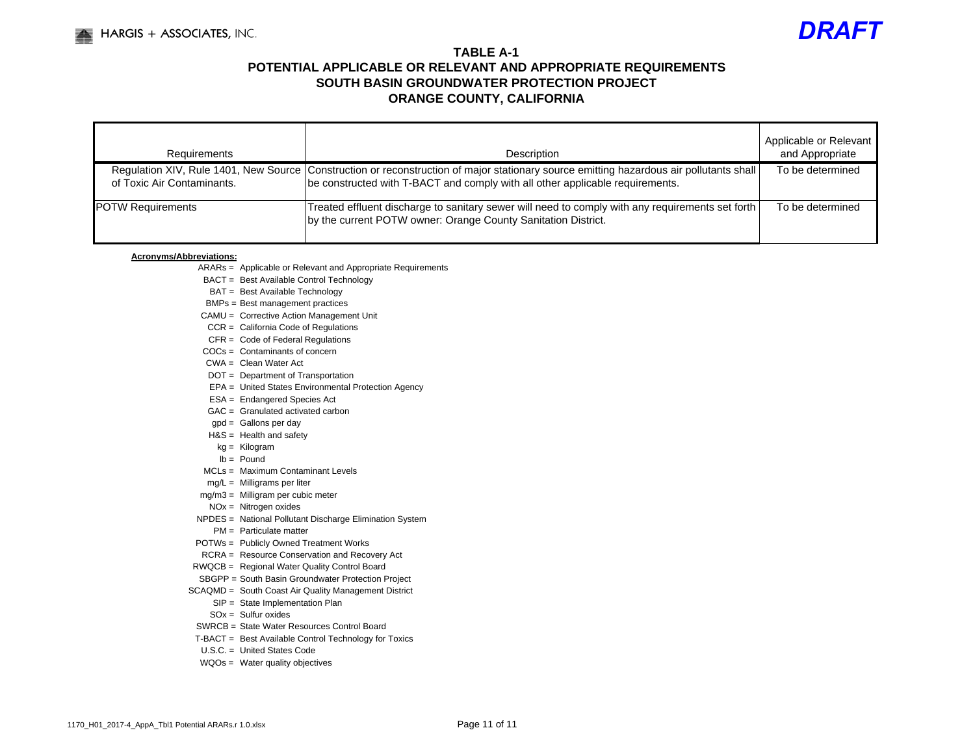

| Requirements               | Description                                                                                                                                                                                                                | Applicable or Relevant<br>and Appropriate |
|----------------------------|----------------------------------------------------------------------------------------------------------------------------------------------------------------------------------------------------------------------------|-------------------------------------------|
| of Toxic Air Contaminants. | Regulation XIV, Rule 1401, New Source   Construction or reconstruction of major stationary source emitting hazardous air pollutants shall<br>be constructed with T-BACT and comply with all other applicable requirements. | To be determined                          |
| <b>IPOTW Requirements</b>  | Treated effluent discharge to sanitary sewer will need to comply with any requirements set forth<br>by the current POTW owner: Orange County Sanitation District.                                                          | To be determined                          |

#### **Acronyms/Abbreviations:**

- ARARs = Applicable or Relevant and Appropriate Requirements
- BACT = Best Available Control Technology
- BAT = Best Available Technology
- BMPs = Best management practices
- CAMU = Corrective Action Management Unit
- CCR = California Code of Regulations
- CFR = Code of Federal Regulations
- COCs = Contaminants of concern
- CWA = Clean Water Act
- DOT = Department of Transportation
- EPA = United States Environmental Protection Agency
- ESA = Endangered Species Act
- GAC = Granulated activated carbon
- gpd = Gallons per day
- H&S = Health and safety
- kg = Kilogram
- lb = Pound
- MCLs = Maximum Contaminant Levels
- mg/L = Milligrams per liter
- mg/m3 = Milligram per cubic meter
- NOx = Nitrogen oxides
- NPDES = National Pollutant Discharge Elimination System
	- PM = Particulate matter
- POTWs = Publicly Owned Treatment Works
- RCRA = Resource Conservation and Recovery Act
- RWQCB = Regional Water Quality Control Board
- SBGPP = South Basin Groundwater Protection Project
- SCAQMD = South Coast Air Quality Management District
	- SIP = State Implementation Plan
	- $SOX = Sulfur oxides$
	- SWRCB = State Water Resources Control Board
- T-BACT = Best Available Control Technology for Toxics
- U.S.C. = United States Code
- WQOs = Water quality objectives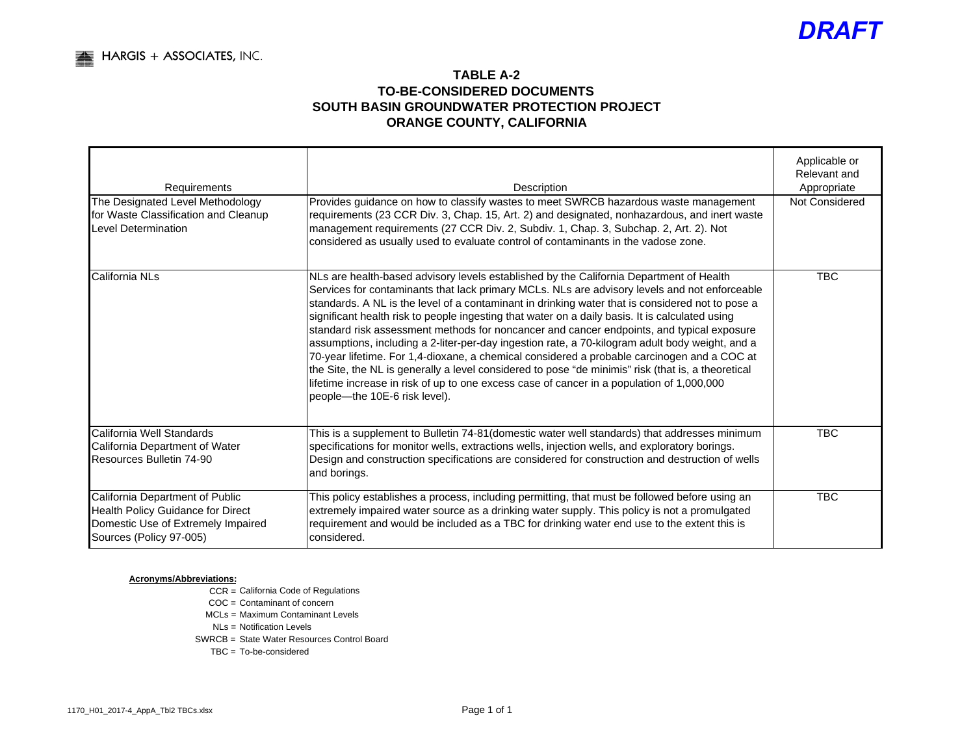## **TABLE A-2TO-BE-CONSIDERED DOCUMENTS SOUTH BASIN GROUNDWATER PROTECTION PROJECTORANGE COUNTY, CALIFORNIA**

| Requirements                                                                                                                          | Description                                                                                                                                                                                                                                                                                                                                                                                                                                                                                                                                                                                                                                                                                                                                                                                                                                                                                                                        | Applicable or<br>Relevant and<br>Appropriate |  |  |  |  |
|---------------------------------------------------------------------------------------------------------------------------------------|------------------------------------------------------------------------------------------------------------------------------------------------------------------------------------------------------------------------------------------------------------------------------------------------------------------------------------------------------------------------------------------------------------------------------------------------------------------------------------------------------------------------------------------------------------------------------------------------------------------------------------------------------------------------------------------------------------------------------------------------------------------------------------------------------------------------------------------------------------------------------------------------------------------------------------|----------------------------------------------|--|--|--|--|
| The Designated Level Methodology<br>for Waste Classification and Cleanup<br><b>Level Determination</b>                                | Provides guidance on how to classify wastes to meet SWRCB hazardous waste management<br>requirements (23 CCR Div. 3, Chap. 15, Art. 2) and designated, nonhazardous, and inert waste<br>management requirements (27 CCR Div. 2, Subdiv. 1, Chap. 3, Subchap. 2, Art. 2). Not<br>considered as usually used to evaluate control of contaminants in the vadose zone.                                                                                                                                                                                                                                                                                                                                                                                                                                                                                                                                                                 |                                              |  |  |  |  |
| California NLs                                                                                                                        | NLs are health-based advisory levels established by the California Department of Health<br>Services for contaminants that lack primary MCLs. NLs are advisory levels and not enforceable<br>standards. A NL is the level of a contaminant in drinking water that is considered not to pose a<br>significant health risk to people ingesting that water on a daily basis. It is calculated using<br>standard risk assessment methods for noncancer and cancer endpoints, and typical exposure<br>assumptions, including a 2-liter-per-day ingestion rate, a 70-kilogram adult body weight, and a<br>70-year lifetime. For 1,4-dioxane, a chemical considered a probable carcinogen and a COC at<br>the Site, the NL is generally a level considered to pose "de minimis" risk (that is, a theoretical<br>lifetime increase in risk of up to one excess case of cancer in a population of 1,000,000<br>people-the 10E-6 risk level). | <b>TBC</b>                                   |  |  |  |  |
| California Well Standards<br>California Department of Water<br>Resources Bulletin 74-90                                               | This is a supplement to Bulletin 74-81 (domestic water well standards) that addresses minimum<br>specifications for monitor wells, extractions wells, injection wells, and exploratory borings.<br>Design and construction specifications are considered for construction and destruction of wells<br>and borings.                                                                                                                                                                                                                                                                                                                                                                                                                                                                                                                                                                                                                 | <b>TBC</b>                                   |  |  |  |  |
| California Department of Public<br>Health Policy Guidance for Direct<br>Domestic Use of Extremely Impaired<br>Sources (Policy 97-005) | This policy establishes a process, including permitting, that must be followed before using an<br>extremely impaired water source as a drinking water supply. This policy is not a promulgated<br>requirement and would be included as a TBC for drinking water end use to the extent this is<br>considered.                                                                                                                                                                                                                                                                                                                                                                                                                                                                                                                                                                                                                       | <b>TBC</b>                                   |  |  |  |  |

#### **Acronyms/Abbreviations:**

CCR = California Code of Regulations

COC = Contaminant of concern

MCLs = Maximum Contaminant Levels

NLs = Notification Levels

SWRCB = State Water Resources Control Board

TBC = To-be-considered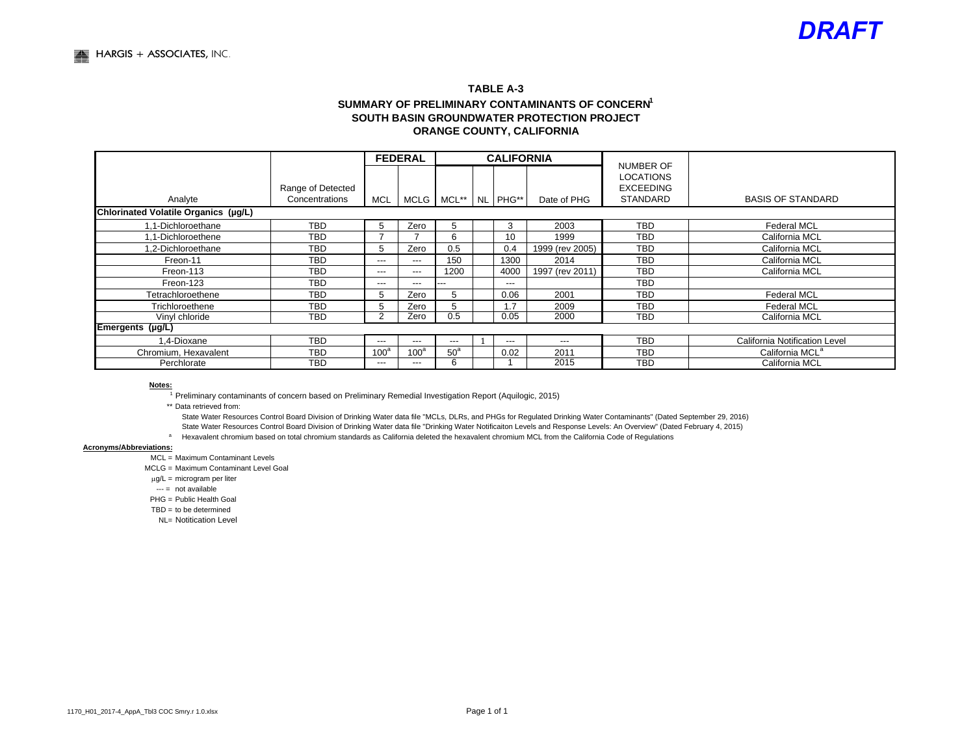#### **TABLE A-3SUMMARY OF PRELIMINARY CONTAMINANTS OF CONCERN<sup>1</sup> SOUTH BASIN GROUNDWATER PROTECTION PROJECTORANGE COUNTY, CALIFORNIA**

|                                      |                                     |                  | <b>FEDERAL</b>   |                 |  | <b>CALIFORNIA</b> |                 |                                                                      |                               |
|--------------------------------------|-------------------------------------|------------------|------------------|-----------------|--|-------------------|-----------------|----------------------------------------------------------------------|-------------------------------|
| Analyte                              | Range of Detected<br>Concentrations | MCL              | MCLG I           | MCL**           |  | NL PHG**          | Date of PHG     | NUMBER OF<br><b>LOCATIONS</b><br><b>EXCEEDING</b><br><b>STANDARD</b> | <b>BASIS OF STANDARD</b>      |
| Chlorinated Volatile Organics (µg/L) |                                     |                  |                  |                 |  |                   |                 |                                                                      |                               |
| 1.1-Dichloroethane                   | <b>TBD</b>                          | 5                | Zero             | 5               |  | 3                 | 2003            | <b>TBD</b>                                                           | <b>Federal MCL</b>            |
| 1.1-Dichloroethene                   | <b>TBD</b>                          |                  |                  | 6               |  | 10                | 1999            | <b>TBD</b>                                                           | California MCL                |
| 1.2-Dichloroethane                   | <b>TBD</b>                          | b                | Zero             | 0.5             |  | 0.4               | 1999 (rev 2005) | <b>TBD</b>                                                           | California MCL                |
| Freon-11                             | <b>TBD</b>                          | ---              | $---$            | 150             |  | 1300              | 2014            | <b>TBD</b>                                                           | California MCL                |
| Freon-113                            | <b>TBD</b>                          | ---              | $---$            | 1200            |  | 4000              | 1997 (rev 2011) | <b>TBD</b>                                                           | California MCL                |
| Freon-123                            | <b>TBD</b>                          | ---              | $---$            | .               |  | $---$             |                 | <b>TBD</b>                                                           |                               |
| Tetrachloroethene                    | <b>TBD</b>                          | b.               | Zero             | 5               |  | 0.06              | 2001            | <b>TBD</b>                                                           | <b>Federal MCL</b>            |
| Trichloroethene                      | <b>TBD</b>                          |                  | Zero             | 5               |  | .7                | 2009            | <b>TBD</b>                                                           | <b>Federal MCL</b>            |
| Vinyl chloride                       | <b>TBD</b>                          | $\sim$           | Zero             | 0.5             |  | 0.05              | 2000            | <b>TBD</b>                                                           | California MCL                |
| Emergents (µg/L)                     |                                     |                  |                  |                 |  |                   |                 |                                                                      |                               |
| 1.4-Dioxane                          | <b>TBD</b>                          | $---$            | $---$            | $---$           |  | $---$             | ---             | <b>TBD</b>                                                           | California Notification Level |
| Chromium, Hexavalent                 | <b>TBD</b>                          | 100 <sup>a</sup> | 100 <sup>a</sup> | 50 <sup>a</sup> |  | 0.02              | 2011            | <b>TBD</b>                                                           | California MCL <sup>a</sup>   |
| Perchlorate                          | <b>TBD</b>                          | ---              | ---              | 6               |  |                   | 2015            | <b>TBD</b>                                                           | California MCL                |

#### **Notes:**

1 Preliminary contaminants of concern based on Preliminary Remedial Investigation Report (Aquilogic, 2015)

\*\* Data retrieved from:

State Water Resources Control Board Division of Drinking Water data file "MCLs, DLRs, and PHGs for Regulated Drinking Water Contaminants" (Dated September 29, 2016) State Water Resources Control Board Division of Drinking Water data file "Drinking Water Notificaiton Levels and Response Levels: An Overview" (Dated February 4, 2015)

a Hexavalent chromium based on total chromium standards as California deleted the hexavalent chromium MCL from the California Code of Regulations

#### **Acronyms/Abbreviations:**

MCL = Maximum Contaminant Levels

MCLG = Maximum Contaminant Level Goal

 $\mu$ g/L = microgram per liter

--- = not available

PHG = Public Health Goal

TBD = to be determined

NL= Notitication Level